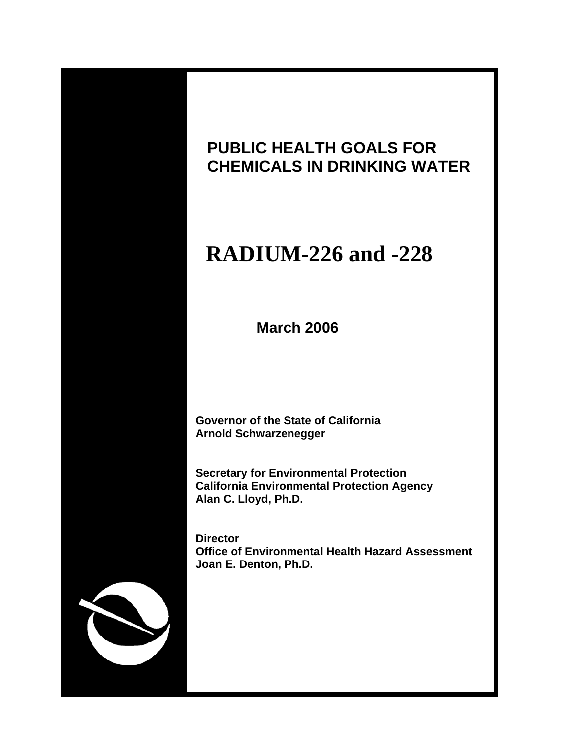

# **PUBLIC HEALTH GOALS FOR CHEMICALS IN DRINKING WATER**

# **RADIUM-226 and -228**

 **March 2006**

 **Governor of the State of California Arnold Schwarzenegger**

 **Secretary for Environmental Protection California Environmental Protection Agency Alan C. Lloyd, Ph.D.**

 **Director Office of Environmental Health Hazard Assessment Joan E. Denton, Ph.D.**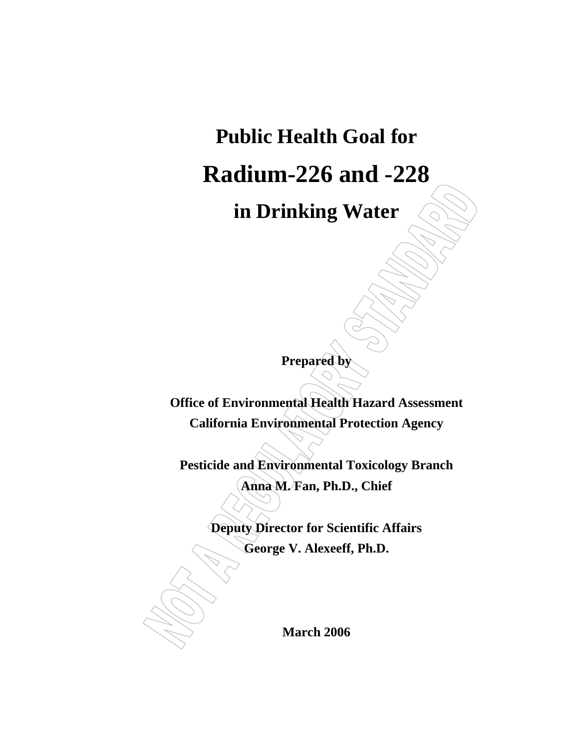# **Public Health Goal for Radium-226 and -228**

**in Drinking Water**

**Prepared by** 

**Office of Environmental Health Hazard Assessment California Environmental Protection Agency** 

**Pesticide and Environmental Toxicology Branch Anna M. Fan, Ph.D., Chief** 

**Deputy Director for Scientific Affairs** 

**George V. Alexeeff, Ph.D.** 

**March 2006**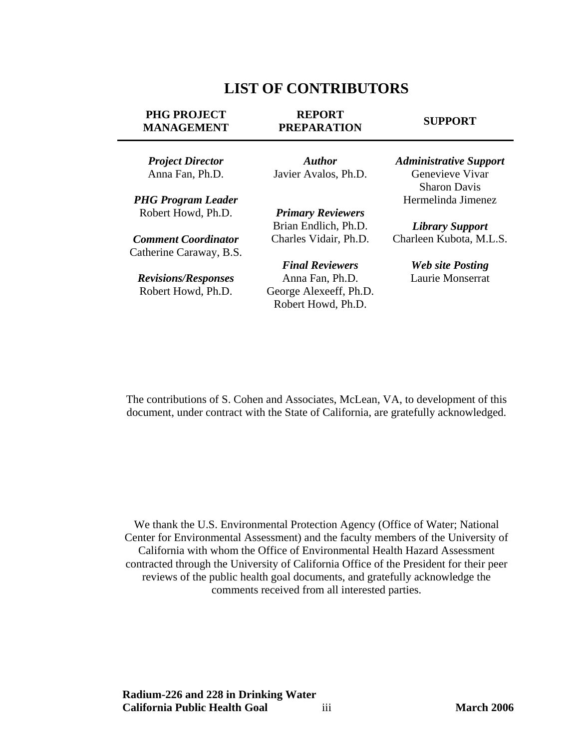# **LIST OF CONTRIBUTORS**

#### <span id="page-2-0"></span>**PHG PROJECT MANAGEMENT**

#### **REPORT PREPARATION**

#### **SUPPORT**

*Project Director* Anna Fan, Ph.D.

*PHG Program Leader* Robert Howd, Ph.D.

*Comment Coordinator*  Catherine Caraway, B.S.

*Revisions/Responses* Robert Howd, Ph.D.

*Author* Javier Avalos, Ph.D.

*Primary Reviewers* Brian Endlich, Ph.D. Charles Vidair, Ph.D.

*Final Reviewers* Anna Fan, Ph.D. George Alexeeff, Ph.D. Robert Howd, Ph.D.

*Administrative Support* Genevieve Vivar Sharon Davis Hermelinda Jimenez

*Library Support* Charleen Kubota, M.L.S.

> *Web site Posting* Laurie Monserrat

The contributions of S. Cohen and Associates, McLean, VA, to development of this document, under contract with the State of California, are gratefully acknowledged.

We thank the U.S. Environmental Protection Agency (Office of Water; National Center for Environmental Assessment) and the faculty members of the University of California with whom the Office of Environmental Health Hazard Assessment contracted through the University of California Office of the President for their peer reviews of the public health goal documents, and gratefully acknowledge the comments received from all interested parties.

**Radium-226 and 228 in Drinking Water California Public Health Goal** iii **March 2006**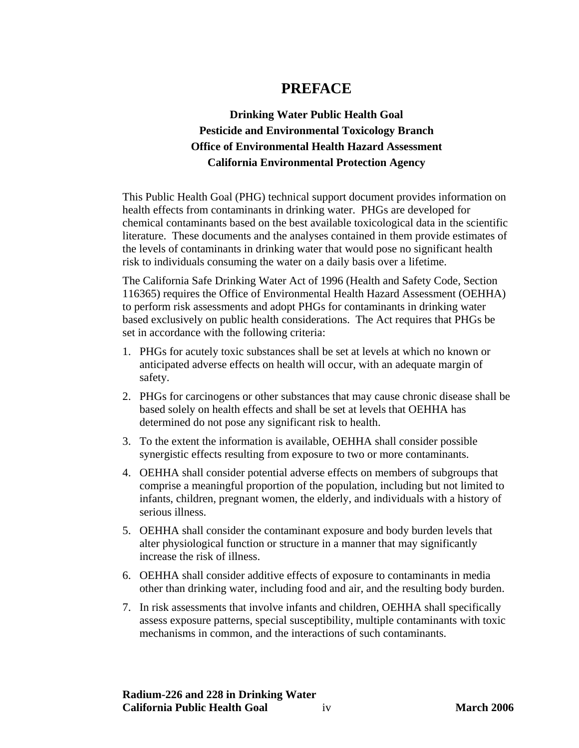# **PREFACE**

# <span id="page-3-0"></span>**Drinking Water Public Health Goal Pesticide and Environmental Toxicology Branch Office of Environmental Health Hazard Assessment California Environmental Protection Agency**

This Public Health Goal (PHG) technical support document provides information on health effects from contaminants in drinking water. PHGs are developed for chemical contaminants based on the best available toxicological data in the scientific literature. These documents and the analyses contained in them provide estimates of the levels of contaminants in drinking water that would pose no significant health risk to individuals consuming the water on a daily basis over a lifetime.

The California Safe Drinking Water Act of 1996 (Health and Safety Code, Section 116365) requires the Office of Environmental Health Hazard Assessment (OEHHA) to perform risk assessments and adopt PHGs for contaminants in drinking water based exclusively on public health considerations. The Act requires that PHGs be set in accordance with the following criteria:

- 1. PHGs for acutely toxic substances shall be set at levels at which no known or anticipated adverse effects on health will occur, with an adequate margin of safety.
- 2. PHGs for carcinogens or other substances that may cause chronic disease shall be based solely on health effects and shall be set at levels that OEHHA has determined do not pose any significant risk to health.
- 3. To the extent the information is available, OEHHA shall consider possible synergistic effects resulting from exposure to two or more contaminants.
- 4. OEHHA shall consider potential adverse effects on members of subgroups that comprise a meaningful proportion of the population, including but not limited to infants, children, pregnant women, the elderly, and individuals with a history of serious illness.
- 5. OEHHA shall consider the contaminant exposure and body burden levels that alter physiological function or structure in a manner that may significantly increase the risk of illness.
- 6. OEHHA shall consider additive effects of exposure to contaminants in media other than drinking water, including food and air, and the resulting body burden.
- 7. In risk assessments that involve infants and children, OEHHA shall specifically assess exposure patterns, special susceptibility, multiple contaminants with toxic mechanisms in common, and the interactions of such contaminants.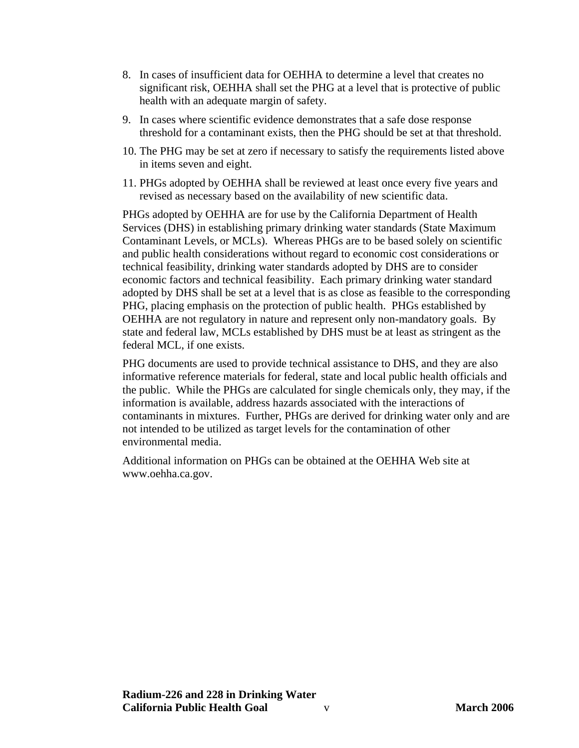- 8. In cases of insufficient data for OEHHA to determine a level that creates no significant risk, OEHHA shall set the PHG at a level that is protective of public health with an adequate margin of safety.
- 9. In cases where scientific evidence demonstrates that a safe dose response threshold for a contaminant exists, then the PHG should be set at that threshold.
- 10. The PHG may be set at zero if necessary to satisfy the requirements listed above in items seven and eight.
- 11. PHGs adopted by OEHHA shall be reviewed at least once every five years and revised as necessary based on the availability of new scientific data.

PHGs adopted by OEHHA are for use by the California Department of Health Services (DHS) in establishing primary drinking water standards (State Maximum Contaminant Levels, or MCLs). Whereas PHGs are to be based solely on scientific and public health considerations without regard to economic cost considerations or technical feasibility, drinking water standards adopted by DHS are to consider economic factors and technical feasibility. Each primary drinking water standard adopted by DHS shall be set at a level that is as close as feasible to the corresponding PHG, placing emphasis on the protection of public health. PHGs established by OEHHA are not regulatory in nature and represent only non-mandatory goals. By state and federal law, MCLs established by DHS must be at least as stringent as the federal MCL, if one exists.

PHG documents are used to provide technical assistance to DHS, and they are also informative reference materials for federal, state and local public health officials and the public. While the PHGs are calculated for single chemicals only, they may, if the information is available, address hazards associated with the interactions of contaminants in mixtures. Further, PHGs are derived for drinking water only and are not intended to be utilized as target levels for the contamination of other environmental media.

Additional information on PHGs can be obtained at the OEHHA Web site at <www.oehha.ca.gov.>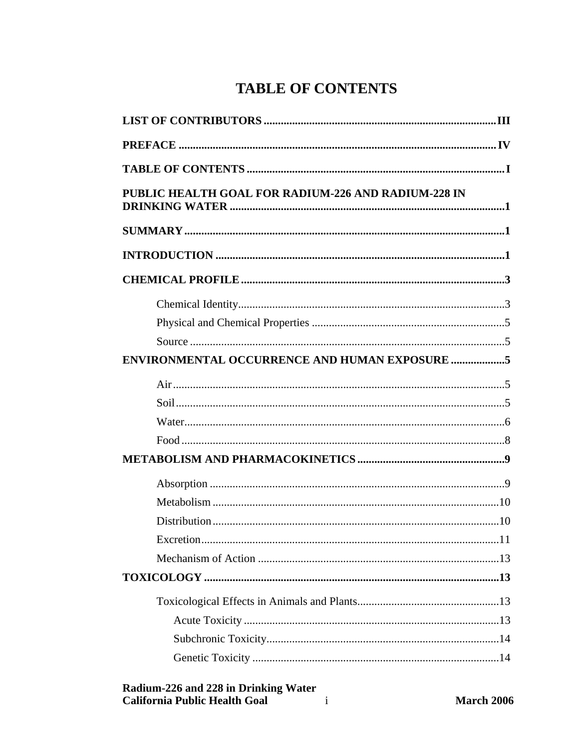# **TABLE OF CONTENTS**

<span id="page-5-0"></span>

| PUBLIC HEALTH GOAL FOR RADIUM-226 AND RADIUM-228 IN  |  |
|------------------------------------------------------|--|
|                                                      |  |
|                                                      |  |
|                                                      |  |
|                                                      |  |
|                                                      |  |
|                                                      |  |
| <b>ENVIRONMENTAL OCCURRENCE AND HUMAN EXPOSURE 5</b> |  |
|                                                      |  |
|                                                      |  |
|                                                      |  |
|                                                      |  |
|                                                      |  |
|                                                      |  |
|                                                      |  |
|                                                      |  |
|                                                      |  |
|                                                      |  |
|                                                      |  |
|                                                      |  |
|                                                      |  |
|                                                      |  |
|                                                      |  |
|                                                      |  |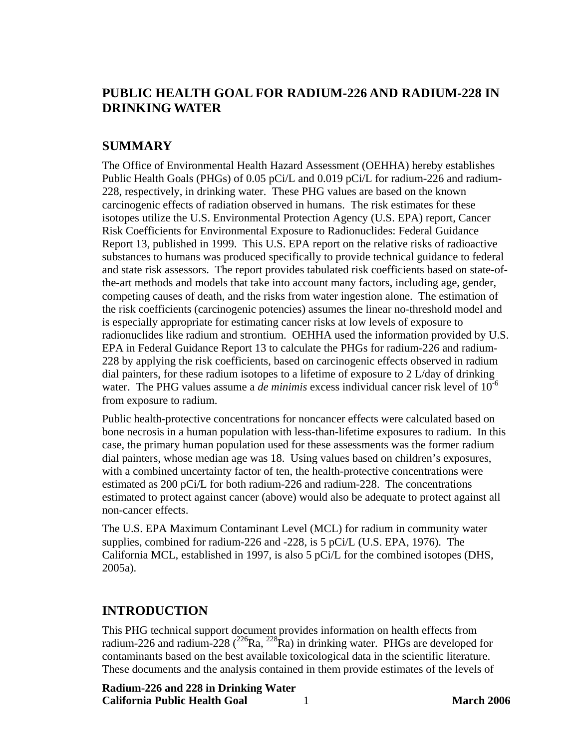# <span id="page-7-0"></span>**PUBLIC HEALTH GOAL FOR RADIUM-226 AND RADIUM-228 IN DRINKING WATER**

# **SUMMARY**

The Office of Environmental Health Hazard Assessment (OEHHA) hereby establishes Public Health Goals (PHGs) of 0.05 pCi/L and 0.019 pCi/L for radium-226 and radium-228, respectively, in drinking water. These PHG values are based on the known carcinogenic effects of radiation observed in humans. The risk estimates for these isotopes utilize the U.S. Environmental Protection Agency (U.S. EPA) report, Cancer Risk Coefficients for Environmental Exposure to Radionuclides: Federal Guidance Report 13, published in 1999. This U.S. EPA report on the relative risks of radioactive substances to humans was produced specifically to provide technical guidance to federal and state risk assessors. The report provides tabulated risk coefficients based on state-ofthe-art methods and models that take into account many factors, including age, gender, competing causes of death, and the risks from water ingestion alone. The estimation of the risk coefficients (carcinogenic potencies) assumes the linear no-threshold model and is especially appropriate for estimating cancer risks at low levels of exposure to radionuclides like radium and strontium. OEHHA used the information provided by U.S. EPA in Federal Guidance Report 13 to calculate the PHGs for radium-226 and radium-228 by applying the risk coefficients, based on carcinogenic effects observed in radium dial painters, for these radium isotopes to a lifetime of exposure to 2 L/day of drinking water. The PHG values assume a *de minimis* excess individual cancer risk level of 10<sup>-6</sup> from exposure to radium.

Public health-protective concentrations for noncancer effects were calculated based on bone necrosis in a human population with less-than-lifetime exposures to radium. In this case, the primary human population used for these assessments was the former radium dial painters, whose median age was 18. Using values based on children's exposures, with a combined uncertainty factor of ten, the health-protective concentrations were estimated as 200 pCi/L for both radium-226 and radium-228. The concentrations estimated to protect against cancer (above) would also be adequate to protect against all non-cancer effects.

The U.S. EPA Maximum Contaminant Level (MCL) for radium in community water supplies, combined for radium-226 and -228, is 5 pCi/L (U.S. EPA, 1976). The California MCL, established in 1997, is also 5 pCi/L for the combined isotopes (DHS, 2005a).

# **INTRODUCTION**

This PHG technical support document provides information on health effects from radium-226 and radium-228 ( $^{226}$ Ra,  $^{228}$ Ra) in drinking water. PHGs are developed for contaminants based on the best available toxicological data in the scientific literature. These documents and the analysis contained in them provide estimates of the levels of

**Radium-226 and 228 in Drinking Water California Public Health Goal** 1 **March 2006**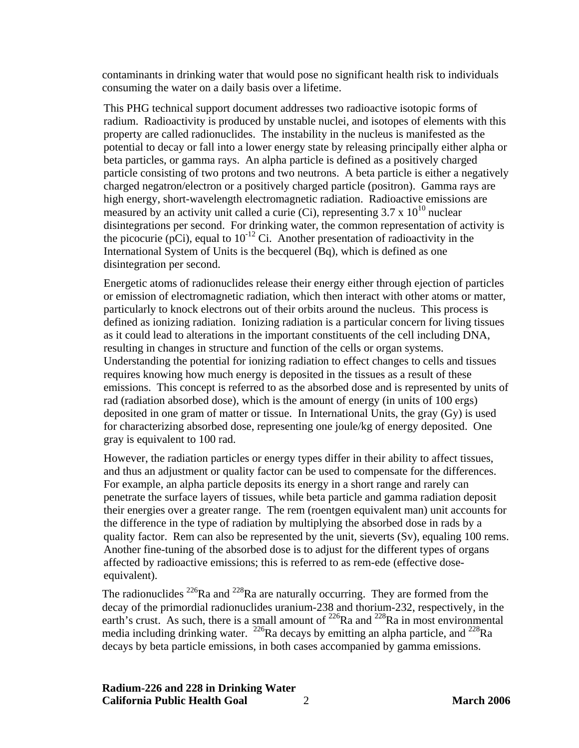contaminants in drinking water that would pose no significant health risk to individuals consuming the water on a daily basis over a lifetime.

This PHG technical support document addresses two radioactive isotopic forms of radium. Radioactivity is produced by unstable nuclei, and isotopes of elements with this property are called radionuclides. The instability in the nucleus is manifested as the potential to decay or fall into a lower energy state by releasing principally either alpha or beta particles, or gamma rays. An alpha particle is defined as a positively charged particle consisting of two protons and two neutrons. A beta particle is either a negatively charged negatron/electron or a positively charged particle (positron). Gamma rays are high energy, short-wavelength electromagnetic radiation. Radioactive emissions are measured by an activity unit called a curie (Ci), representing  $3.7 \times 10^{10}$  nuclear disintegrations per second. For drinking water, the common representation of activity is the picocurie (pCi), equal to  $10^{-12}$  Ci. Another presentation of radioactivity in the International System of Units is the becquerel (Bq), which is defined as one disintegration per second.

Energetic atoms of radionuclides release their energy either through ejection of particles or emission of electromagnetic radiation, which then interact with other atoms or matter, particularly to knock electrons out of their orbits around the nucleus. This process is defined as ionizing radiation. Ionizing radiation is a particular concern for living tissues as it could lead to alterations in the important constituents of the cell including DNA, resulting in changes in structure and function of the cells or organ systems. Understanding the potential for ionizing radiation to effect changes to cells and tissues requires knowing how much energy is deposited in the tissues as a result of these emissions. This concept is referred to as the absorbed dose and is represented by units of rad (radiation absorbed dose), which is the amount of energy (in units of 100 ergs) deposited in one gram of matter or tissue. In International Units, the gray (Gy) is used for characterizing absorbed dose, representing one joule/kg of energy deposited. One gray is equivalent to 100 rad.

However, the radiation particles or energy types differ in their ability to affect tissues, and thus an adjustment or quality factor can be used to compensate for the differences. For example, an alpha particle deposits its energy in a short range and rarely can penetrate the surface layers of tissues, while beta particle and gamma radiation deposit their energies over a greater range. The rem (roentgen equivalent man) unit accounts for the difference in the type of radiation by multiplying the absorbed dose in rads by a quality factor. Rem can also be represented by the unit, sieverts  $(Sv)$ , equaling 100 rems. Another fine-tuning of the absorbed dose is to adjust for the different types of organs affected by radioactive emissions; this is referred to as rem-ede (effective doseequivalent).

The radionuclides  $^{226}$ Ra and  $^{228}$ Ra are naturally occurring. They are formed from the decay of the primordial radionuclides uranium-238 and thorium-232, respectively, in the earth's crust. As such, there is a small amount of  $^{226}$ Ra and  $^{228}$ Ra in most environmental media including drinking water. <sup>226</sup>Ra decays by emitting an alpha particle, and <sup>228</sup>Ra decays by beta particle emissions, in both cases accompanied by gamma emissions.

**Radium-226 and 228 in Drinking Water California Public Health Goal** 2 **March 2006**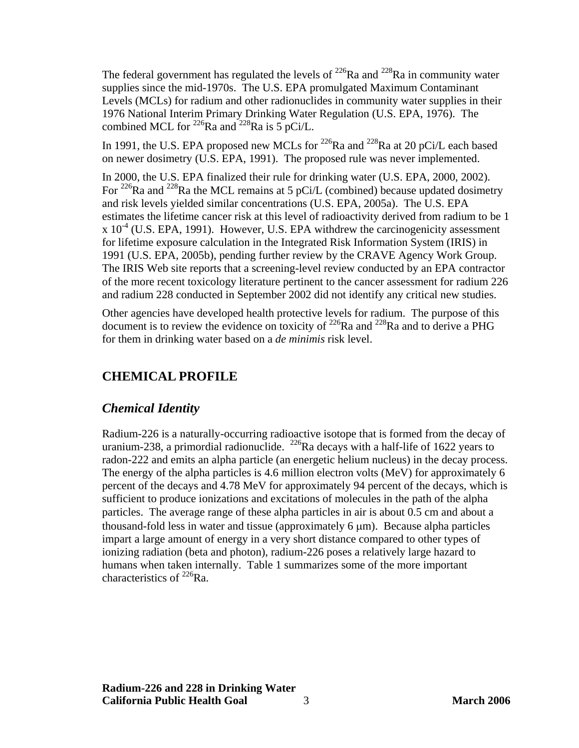<span id="page-9-0"></span>The federal government has regulated the levels of  $^{226}$ Ra and  $^{228}$ Ra in community water supplies since the mid-1970s. The U.S. EPA promulgated Maximum Contaminant Levels (MCLs) for radium and other radionuclides in community water supplies in their 1976 National Interim Primary Drinking Water Regulation (U.S. EPA, 1976). The combined MCL for <sup>226</sup>Ra and <sup>228</sup>Ra is 5 pCi/L.

In 1991, the U.S. EPA proposed new MCLs for  $^{226}$ Ra and  $^{228}$ Ra at 20 pCi/L each based on newer dosimetry (U.S. EPA, 1991). The proposed rule was never implemented.

In 2000, the U.S. EPA finalized their rule for drinking water (U.S. EPA, 2000, 2002). For <sup>226</sup>Ra and <sup>228</sup>Ra the MCL remains at 5 pCi/L (combined) because updated dosimetry and risk levels yielded similar concentrations (U.S. EPA, 2005a). The U.S. EPA estimates the lifetime cancer risk at this level of radioactivity derived from radium to be 1  $\chi$  10<sup>-4</sup> (U.S. EPA, 1991). However, U.S. EPA withdrew the carcinogenicity assessment for lifetime exposure calculation in the Integrated Risk Information System (IRIS) in 1991 (U.S. EPA, 2005b), pending further review by the CRAVE Agency Work Group. The IRIS Web site reports that a screening-level review conducted by an EPA contractor of the more recent toxicology literature pertinent to the cancer assessment for radium 226 and radium 228 conducted in September 2002 did not identify any critical new studies.

Other agencies have developed health protective levels for radium. The purpose of this document is to review the evidence on toxicity of  $^{226}$ Ra and  $^{228}$ Ra and to derive a PHG for them in drinking water based on a *de minimis* risk level.

# **CHEMICAL PROFILE**

# *Chemical Identity*

Radium-226 is a naturally-occurring radioactive isotope that is formed from the decay of uranium-238, a primordial radionuclide. <sup>226</sup>Ra decays with a half-life of 1622 years to radon-222 and emits an alpha particle (an energetic helium nucleus) in the decay process. The energy of the alpha particles is 4.6 million electron volts (MeV) for approximately 6 percent of the decays and 4.78 MeV for approximately 94 percent of the decays, which is sufficient to produce ionizations and excitations of molecules in the path of the alpha particles. The average range of these alpha particles in air is about 0.5 cm and about a thousand-fold less in water and tissue (approximately  $6 \mu m$ ). Because alpha particles impart a large amount of energy in a very short distance compared to other types of ionizing radiation (beta and photon), radium-226 poses a relatively large hazard to humans when taken internally. Table 1 summarizes some of the more important characteristics of  $^{226}$ Ra.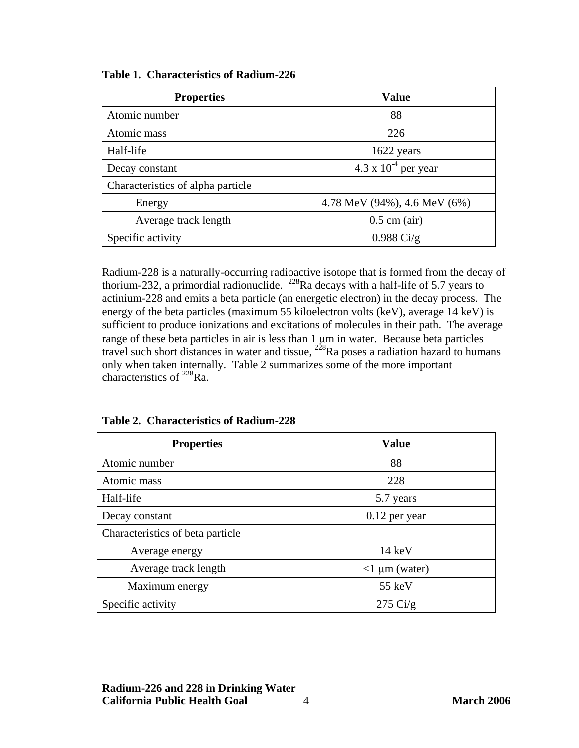| <b>Properties</b>                          | <b>Value</b>                 |
|--------------------------------------------|------------------------------|
| Atomic number                              | 88                           |
| Atomic mass                                | 226                          |
| Half-life                                  | 1622 years                   |
| 4.3 x $10^{-4}$ per year<br>Decay constant |                              |
| Characteristics of alpha particle          |                              |
| Energy                                     | 4.78 MeV (94%), 4.6 MeV (6%) |
| Average track length                       | $0.5$ cm (air)               |
| Specific activity                          | $0.988 \text{ Ci/g}$         |

**Table 1. Characteristics of Radium-226** 

Radium-228 is a naturally-occurring radioactive isotope that is formed from the decay of thorium-232, a primordial radionuclide. <sup>228</sup>Ra decays with a half-life of 5.7 years to actinium-228 and emits a beta particle (an energetic electron) in the decay process. The energy of the beta particles (maximum 55 kiloelectron volts (keV), average 14 keV) is sufficient to produce ionizations and excitations of molecules in their path. The average range of these beta particles in air is less than 1 μm in water. Because beta particles travel such short distances in water and tissue,  $2^{28}$ Ra poses a radiation hazard to humans only when taken internally. Table 2 summarizes some of the more important characteristics of  $^{228}$ Ra.

| <b>Properties</b>                | <b>Value</b>       |
|----------------------------------|--------------------|
| Atomic number                    | 88                 |
| Atomic mass                      | 228                |
| Half-life                        | 5.7 years          |
| Decay constant                   | $0.12$ per year    |
| Characteristics of beta particle |                    |
| Average energy                   | 14 keV             |
| Average track length             | $<1 \mu m$ (water) |
| Maximum energy                   | 55 keV             |
| Specific activity                | $275 \text{ Ci/g}$ |

| Table 2. Characteristics of Radium-228 |  |
|----------------------------------------|--|
|                                        |  |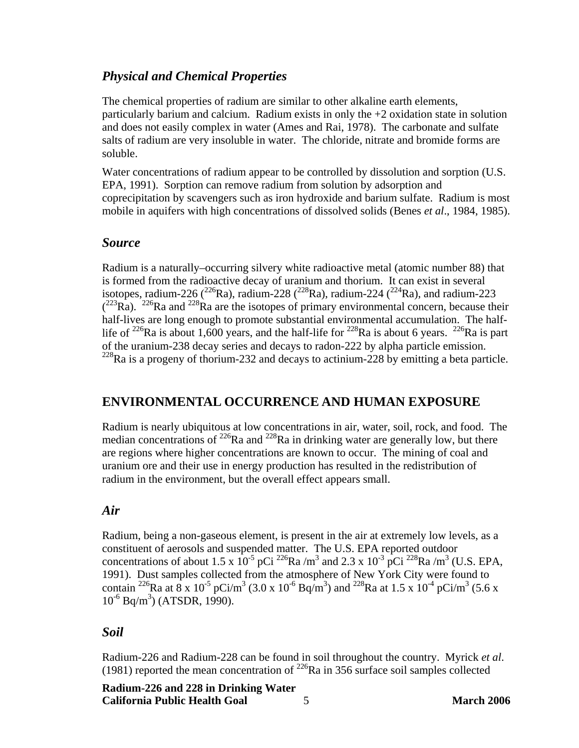# <span id="page-11-0"></span>*Physical and Chemical Properties*

The chemical properties of radium are similar to other alkaline earth elements, particularly barium and calcium. Radium exists in only the +2 oxidation state in solution and does not easily complex in water (Ames and Rai, 1978). The carbonate and sulfate salts of radium are very insoluble in water. The chloride, nitrate and bromide forms are soluble.

Water concentrations of radium appear to be controlled by dissolution and sorption (U.S. EPA, 1991). Sorption can remove radium from solution by adsorption and coprecipitation by scavengers such as iron hydroxide and barium sulfate. Radium is most mobile in aquifers with high concentrations of dissolved solids (Benes *et al*., 1984, 1985).

# *Source*

Radium is a naturally–occurring silvery white radioactive metal (atomic number 88) that is formed from the radioactive decay of uranium and thorium. It can exist in several isotopes, radium-226 ( $^{226}$ Ra), radium-228 ( $^{228}$ Ra), radium-224 ( $^{224}$ Ra), and radium-223  $(2^{23}Ra)$ . <sup>226</sup>Ra and <sup>228</sup>Ra are the isotopes of primary environmental concern, because their half-lives are long enough to promote substantial environmental accumulation. The halflife of <sup>226</sup>Ra is about 1,600 years, and the half-life for <sup>228</sup>Ra is about 6 years. <sup>226</sup>Ra is part of the uranium-238 decay series and decays to radon-222 by alpha particle emission. <sup>228</sup>Ra is a progeny of thorium-232 and decays to actinium-228 by emitting a beta particle.

# **ENVIRONMENTAL OCCURRENCE AND HUMAN EXPOSURE**

Radium is nearly ubiquitous at low concentrations in air, water, soil, rock, and food. The median concentrations of  $^{226}$ Ra and  $^{228}$ Ra in drinking water are generally low, but there are regions where higher concentrations are known to occur. The mining of coal and uranium ore and their use in energy production has resulted in the redistribution of radium in the environment, but the overall effect appears small.

#### *Air*

Radium, being a non-gaseous element, is present in the air at extremely low levels, as a constituent of aerosols and suspended matter. The U.S. EPA reported outdoor concentrations of about 1.5 x  $10^{-5}$  pCi  $^{226}$ Ra /m<sup>3</sup> and 2.3 x 10<sup>-3</sup> pCi  $^{228}$ Ra /m<sup>3</sup> (U.S. EPA, 1991). Dust samples collected from the atmosphere of New York City were found to contain <sup>226</sup>Ra at  $8 \times 10^{-5}$  pCi/m<sup>3</sup> (3.0 x 10<sup>-6</sup> Bq/m<sup>3</sup>) and <sup>228</sup>Ra at 1.5 x 10<sup>-4</sup> pCi/m<sup>3</sup> (5.6 x  $10^{-6}$  Bq/m<sup>3</sup>) (ATSDR, 1990).

# *Soil*

Radium-226 and Radium-228 can be found in soil throughout the country. Myrick *et al*. (1981) reported the mean concentration of  $^{226}$ Ra in 356 surface soil samples collected

**Radium-226 and 228 in Drinking Water California Public Health Goal** 5 **March 2006**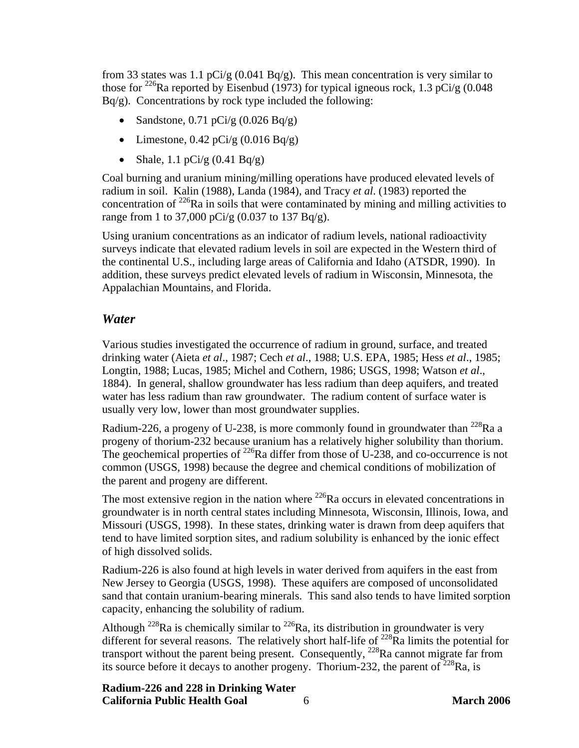<span id="page-12-0"></span>from 33 states was 1.1 pCi/g  $(0.041 Bq/g)$ . This mean concentration is very similar to those for <sup>226</sup>Ra reported by Eisenbud (1973) for typical igneous rock, 1.3 pCi/g (0.048)  $Bq/g$ ). Concentrations by rock type included the following:

- Sandstone,  $0.71$  pCi/g  $(0.026$  Bq/g)
- Limestone,  $0.42$  pCi/g  $(0.016$  Bq/g)
- Shale, 1.1 pCi/g  $(0.41 \text{ Bq/g})$

Coal burning and uranium mining/milling operations have produced elevated levels of radium in soil. Kalin (1988), Landa (1984), and Tracy *et al*. (1983) reported the concentration of  $^{226}$ Ra in soils that were contaminated by mining and milling activities to range from 1 to 37,000 pCi/g (0.037 to 137 Bq/g).

Using uranium concentrations as an indicator of radium levels, national radioactivity surveys indicate that elevated radium levels in soil are expected in the Western third of the continental U.S., including large areas of California and Idaho (ATSDR, 1990). In addition, these surveys predict elevated levels of radium in Wisconsin, Minnesota, the Appalachian Mountains, and Florida.

# *Water*

Various studies investigated the occurrence of radium in ground, surface, and treated drinking water (Aieta *et al*., 1987; Cech *et al*., 1988; U.S. EPA, 1985; Hess *et al*., 1985; Longtin, 1988; Lucas, 1985; Michel and Cothern, 1986; USGS, 1998; Watson *et al*., 1884). In general, shallow groundwater has less radium than deep aquifers, and treated water has less radium than raw groundwater. The radium content of surface water is usually very low, lower than most groundwater supplies.

Radium-226, a progeny of U-238, is more commonly found in groundwater than  $^{228}$ Ra a progeny of thorium-232 because uranium has a relatively higher solubility than thorium. The geochemical properties of  $^{226}$ Ra differ from those of U-238, and co-occurrence is not common (USGS, 1998) because the degree and chemical conditions of mobilization of the parent and progeny are different.

The most extensive region in the nation where  $^{226}$ Ra occurs in elevated concentrations in groundwater is in north central states including Minnesota, Wisconsin, Illinois, Iowa, and Missouri (USGS, 1998). In these states, drinking water is drawn from deep aquifers that tend to have limited sorption sites, and radium solubility is enhanced by the ionic effect of high dissolved solids.

Radium-226 is also found at high levels in water derived from aquifers in the east from New Jersey to Georgia (USGS, 1998). These aquifers are composed of unconsolidated sand that contain uranium-bearing minerals. This sand also tends to have limited sorption capacity, enhancing the solubility of radium.

Although  $^{228}$ Ra is chemically similar to  $^{226}$ Ra, its distribution in groundwater is very different for several reasons. The relatively short half-life of  $^{228}$ Ra limits the potential for transport without the parent being present. Consequently,  $^{228}$ Ra cannot migrate far from its source before it decays to another progeny. Thorium-232, the parent of  $^{228}$ Ra, is

**Radium-226 and 228 in Drinking Water California Public Health Goal** 6 **March 2006**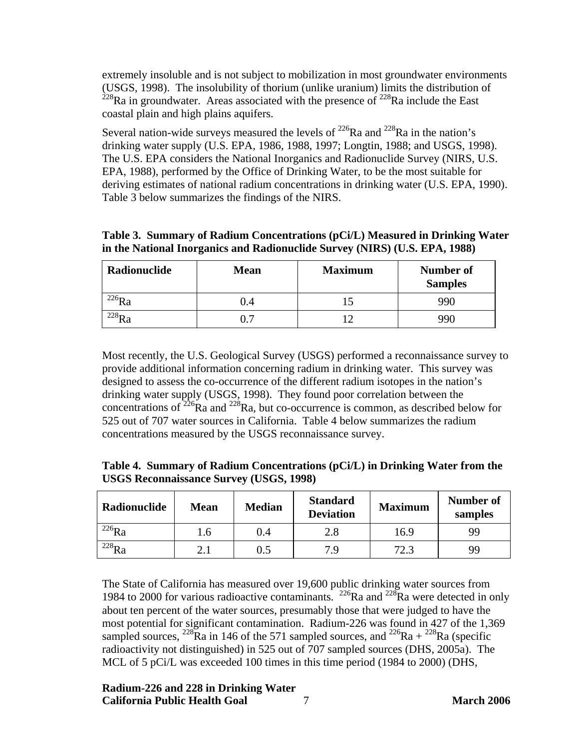extremely insoluble and is not subject to mobilization in most groundwater environments (USGS, 1998). The insolubility of thorium (unlike uranium) limits the distribution of  $^{228}$ Ra in groundwater. Areas associated with the presence of  $^{228}$ Ra include the East coastal plain and high plains aquifers.

Several nation-wide surveys measured the levels of  $^{226}$ Ra and  $^{228}$ Ra in the nation's drinking water supply (U.S. EPA, 1986, 1988, 1997; Longtin, 1988; and USGS, 1998). The U.S. EPA considers the National Inorganics and Radionuclide Survey (NIRS, U.S. EPA, 1988), performed by the Office of Drinking Water, to be the most suitable for deriving estimates of national radium concentrations in drinking water (U.S. EPA, 1990). Table 3 below summarizes the findings of the NIRS.

**Table 3. Summary of Radium Concentrations (pCi/L) Measured in Drinking Water in the National Inorganics and Radionuclide Survey (NIRS) (U.S. EPA, 1988)** 

| Radionuclide     | Mean | <b>Maximum</b> | Number of<br><b>Samples</b> |
|------------------|------|----------------|-----------------------------|
| 220 D<br>ĸa      | V.4  |                | 990                         |
| 228 <sub>D</sub> |      | م 1            | QQf                         |

Most recently, the U.S. Geological Survey (USGS) performed a reconnaissance survey to provide additional information concerning radium in drinking water. This survey was designed to assess the co-occurrence of the different radium isotopes in the nation's drinking water supply (USGS, 1998). They found poor correlation between the concentrations of  $226$ Ra and  $228$ Ra, but co-occurrence is common, as described below for 525 out of 707 water sources in California. Table 4 below summarizes the radium concentrations measured by the USGS reconnaissance survey.

| Table 4. Summary of Radium Concentrations (pCi/L) in Drinking Water from the |  |  |
|------------------------------------------------------------------------------|--|--|
| <b>USGS Reconnaissance Survey (USGS, 1998)</b>                               |  |  |

| Radionuclide | <b>Mean</b> | <b>Median</b> | <b>Standard</b><br><b>Deviation</b> | <b>Maximum</b> | Number of<br>samples |
|--------------|-------------|---------------|-------------------------------------|----------------|----------------------|
| $^{226}Ra$   | 1.6         | 0.4           | 2.8                                 | 16.9           | 99                   |
| $^{228}Ra$   | 2.1         | $\rm 0.5$     | 7.9                                 | 72.3           | 99                   |

The State of California has measured over 19,600 public drinking water sources from 1984 to 2000 for various radioactive contaminants.  $^{226}$ Ra and  $^{228}$ Ra were detected in only about ten percent of the water sources, presumably those that were judged to have the most potential for significant contamination. Radium-226 was found in 427 of the 1,369 sampled sources, <sup>228</sup>Ra in 146 of the 571 sampled sources, and <sup>226</sup>Ra + <sup>228</sup>Ra (specific radioactivity not distinguished) in 525 out of 707 sampled sources (DHS, 2005a). The MCL of 5 pCi/L was exceeded 100 times in this time period (1984 to 2000) (DHS,

#### **Radium-226 and 228 in Drinking Water California Public Health Goal** 7 **March 2006**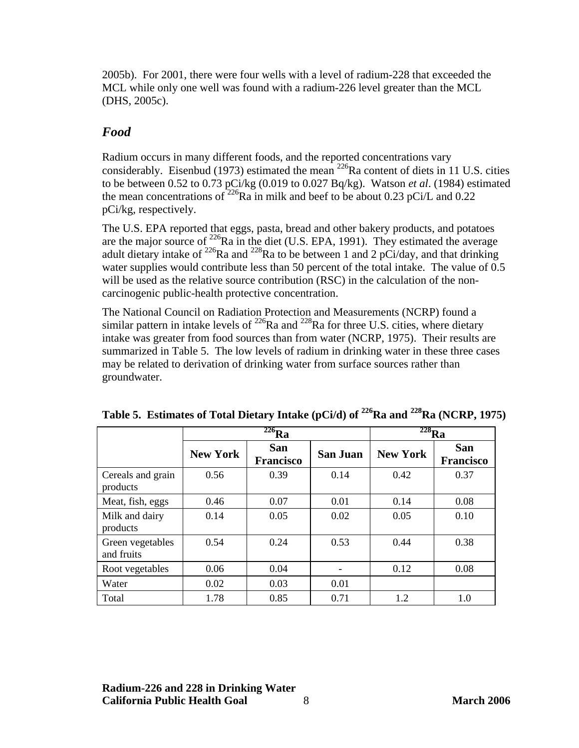<span id="page-14-0"></span>2005b). For 2001, there were four wells with a level of radium-228 that exceeded the MCL while only one well was found with a radium-226 level greater than the MCL (DHS, 2005c).

# *Food*

Radium occurs in many different foods, and the reported concentrations vary considerably. Eisenbud (1973) estimated the mean  $^{226}$ Ra content of diets in 11 U.S. cities to be between 0.52 to 0.73 pCi/kg (0.019 to 0.027 Bq/kg). Watson *et al*. (1984) estimated the mean concentrations of <sup>226</sup>Ra in milk and beef to be about 0.23 pCi/L and 0.22 pCi/kg, respectively.

The U.S. EPA reported that eggs, pasta, bread and other bakery products, and potatoes are the major source of  $^{226}$ Ra in the diet (U.S. EPA, 1991). They estimated the average adult dietary intake of <sup>226</sup>Ra and <sup>228</sup>Ra to be between 1 and 2 pCi/day, and that drinking water supplies would contribute less than 50 percent of the total intake. The value of 0.5 will be used as the relative source contribution (RSC) in the calculation of the noncarcinogenic public-health protective concentration.

The National Council on Radiation Protection and Measurements (NCRP) found a similar pattern in intake levels of  $^{226}$ Ra and  $^{228}$ Ra for three U.S. cities, where dietary intake was greater from food sources than from water (NCRP, 1975). Their results are summarized in Table 5. The low levels of radium in drinking water in these three cases may be related to derivation of drinking water from surface sources rather than groundwater.

|                                | $^{226}Ra$      |                                |                 | $\overline{^{228}}$ Ra |                                |
|--------------------------------|-----------------|--------------------------------|-----------------|------------------------|--------------------------------|
|                                | <b>New York</b> | <b>San</b><br><b>Francisco</b> | <b>San Juan</b> | <b>New York</b>        | <b>San</b><br><b>Francisco</b> |
| Cereals and grain<br>products  | 0.56            | 0.39                           | 0.14            | 0.42                   | 0.37                           |
| Meat, fish, eggs               | 0.46            | 0.07                           | 0.01            | 0.14                   | 0.08                           |
| Milk and dairy<br>products     | 0.14            | 0.05                           | 0.02            | 0.05                   | 0.10                           |
| Green vegetables<br>and fruits | 0.54            | 0.24                           | 0.53            | 0.44                   | 0.38                           |
| Root vegetables                | 0.06            | 0.04                           |                 | 0.12                   | 0.08                           |
| Water                          | 0.02            | 0.03                           | 0.01            |                        |                                |
| Total                          | 1.78            | 0.85                           | 0.71            | 1.2                    | 1.0                            |

Table 5. Estimates of Total Dietary Intake (pCi/d) of <sup>226</sup>Ra and <sup>228</sup>Ra (NCRP, 1975)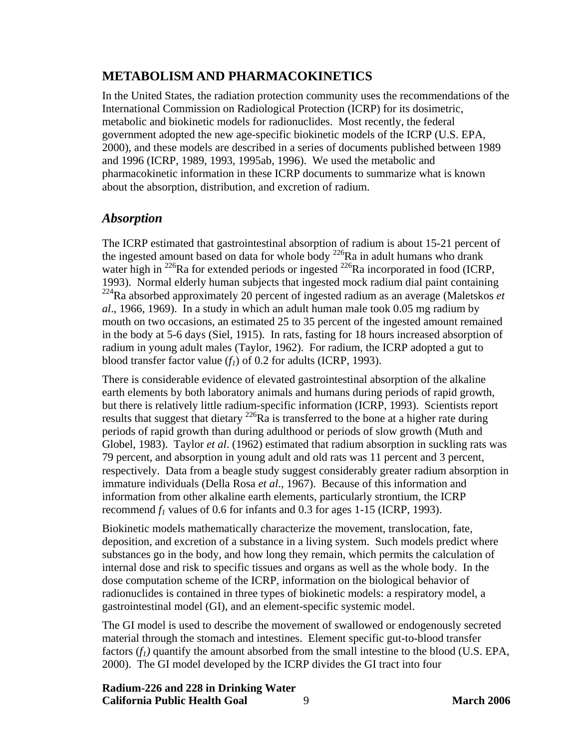# <span id="page-15-0"></span>**METABOLISM AND PHARMACOKINETICS**

In the United States, the radiation protection community uses the recommendations of the International Commission on Radiological Protection (ICRP) for its dosimetric, metabolic and biokinetic models for radionuclides. Most recently, the federal government adopted the new age-specific biokinetic models of the ICRP (U.S. EPA, 2000), and these models are described in a series of documents published between 1989 and 1996 (ICRP, 1989, 1993, 1995ab, 1996). We used the metabolic and pharmacokinetic information in these ICRP documents to summarize what is known about the absorption, distribution, and excretion of radium.

# *Absorption*

The ICRP estimated that gastrointestinal absorption of radium is about 15-21 percent of the ingested amount based on data for whole body <sup>226</sup>Ra in adult humans who drank water high in <sup>226</sup>Ra for extended periods or ingested <sup>226</sup>Ra incorporated in food (ICRP, 1993). Normal elderly human subjects that ingested mock radium dial paint containing 224Ra absorbed approximately 20 percent of ingested radium as an average (Maletskos *et al*., 1966, 1969). In a study in which an adult human male took 0.05 mg radium by mouth on two occasions, an estimated 25 to 35 percent of the ingested amount remained in the body at 5-6 days (Siel, 1915). In rats, fasting for 18 hours increased absorption of radium in young adult males (Taylor, 1962). For radium, the ICRP adopted a gut to blood transfer factor value  $(f_1)$  of 0.2 for adults (ICRP, 1993).

There is considerable evidence of elevated gastrointestinal absorption of the alkaline earth elements by both laboratory animals and humans during periods of rapid growth, but there is relatively little radium-specific information (ICRP, 1993). Scientists report results that suggest that dietary  $^{226}$ Ra is transferred to the bone at a higher rate during periods of rapid growth than during adulthood or periods of slow growth (Muth and Globel, 1983). Taylor *et al*. (1962) estimated that radium absorption in suckling rats was 79 percent, and absorption in young adult and old rats was 11 percent and 3 percent, respectively. Data from a beagle study suggest considerably greater radium absorption in immature individuals (Della Rosa *et al*., 1967). Because of this information and information from other alkaline earth elements, particularly strontium, the ICRP recommend  $f_1$  values of 0.6 for infants and 0.3 for ages 1-15 (ICRP, 1993).

Biokinetic models mathematically characterize the movement, translocation, fate, deposition, and excretion of a substance in a living system. Such models predict where substances go in the body, and how long they remain, which permits the calculation of internal dose and risk to specific tissues and organs as well as the whole body. In the dose computation scheme of the ICRP, information on the biological behavior of radionuclides is contained in three types of biokinetic models: a respiratory model, a gastrointestinal model (GI), and an element-specific systemic model.

The GI model is used to describe the movement of swallowed or endogenously secreted material through the stomach and intestines. Element specific gut-to-blood transfer factors  $(f_l)$  quantify the amount absorbed from the small intestine to the blood (U.S. EPA, 2000). The GI model developed by the ICRP divides the GI tract into four

**Radium-226 and 228 in Drinking Water California Public Health Goal** 9 **March 2006**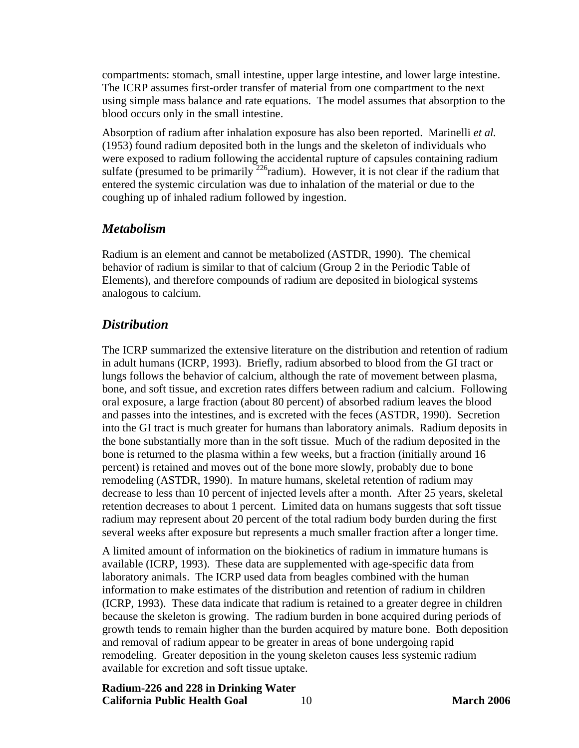<span id="page-16-0"></span>compartments: stomach, small intestine, upper large intestine, and lower large intestine. The ICRP assumes first-order transfer of material from one compartment to the next using simple mass balance and rate equations. The model assumes that absorption to the blood occurs only in the small intestine.

Absorption of radium after inhalation exposure has also been reported. Marinelli *et al.* (1953) found radium deposited both in the lungs and the skeleton of individuals who were exposed to radium following the accidental rupture of capsules containing radium sulfate (presumed to be primarily  $^{226}$ radium). However, it is not clear if the radium that entered the systemic circulation was due to inhalation of the material or due to the coughing up of inhaled radium followed by ingestion.

#### *Metabolism*

Radium is an element and cannot be metabolized (ASTDR, 1990). The chemical behavior of radium is similar to that of calcium (Group 2 in the Periodic Table of Elements), and therefore compounds of radium are deposited in biological systems analogous to calcium.

#### *Distribution*

The ICRP summarized the extensive literature on the distribution and retention of radium in adult humans (ICRP, 1993). Briefly, radium absorbed to blood from the GI tract or lungs follows the behavior of calcium, although the rate of movement between plasma, bone, and soft tissue, and excretion rates differs between radium and calcium. Following oral exposure, a large fraction (about 80 percent) of absorbed radium leaves the blood and passes into the intestines, and is excreted with the feces (ASTDR, 1990). Secretion into the GI tract is much greater for humans than laboratory animals. Radium deposits in the bone substantially more than in the soft tissue. Much of the radium deposited in the bone is returned to the plasma within a few weeks, but a fraction (initially around 16 percent) is retained and moves out of the bone more slowly, probably due to bone remodeling (ASTDR, 1990). In mature humans, skeletal retention of radium may decrease to less than 10 percent of injected levels after a month. After 25 years, skeletal retention decreases to about 1 percent. Limited data on humans suggests that soft tissue radium may represent about 20 percent of the total radium body burden during the first several weeks after exposure but represents a much smaller fraction after a longer time.

A limited amount of information on the biokinetics of radium in immature humans is available (ICRP, 1993). These data are supplemented with age-specific data from laboratory animals. The ICRP used data from beagles combined with the human information to make estimates of the distribution and retention of radium in children (ICRP, 1993). These data indicate that radium is retained to a greater degree in children because the skeleton is growing. The radium burden in bone acquired during periods of growth tends to remain higher than the burden acquired by mature bone. Both deposition and removal of radium appear to be greater in areas of bone undergoing rapid remodeling. Greater deposition in the young skeleton causes less systemic radium available for excretion and soft tissue uptake.

**Radium-226 and 228 in Drinking Water California Public Health Goal** 10 **March 2006**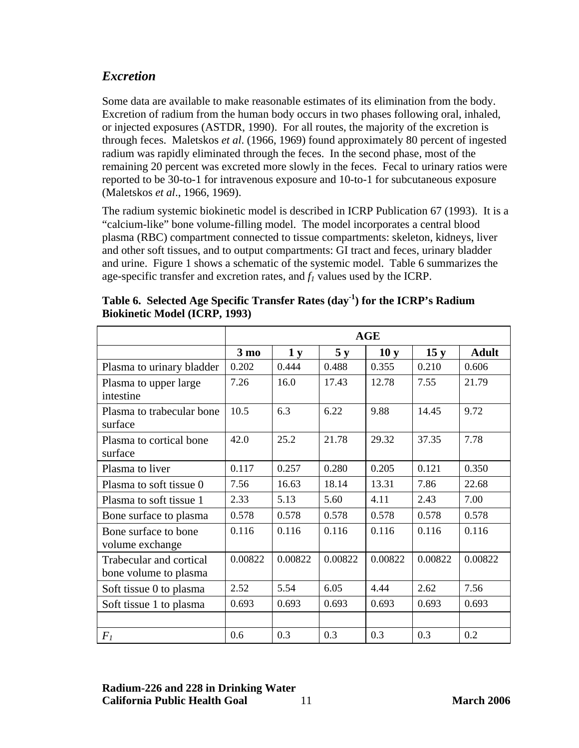# <span id="page-17-0"></span>*Excretion*

Some data are available to make reasonable estimates of its elimination from the body. Excretion of radium from the human body occurs in two phases following oral, inhaled, or injected exposures (ASTDR, 1990). For all routes, the majority of the excretion is through feces. Maletskos *et al*. (1966, 1969) found approximately 80 percent of ingested radium was rapidly eliminated through the feces. In the second phase, most of the remaining 20 percent was excreted more slowly in the feces. Fecal to urinary ratios were reported to be 30-to-1 for intravenous exposure and 10-to-1 for subcutaneous exposure (Maletskos *et al*., 1966, 1969).

The radium systemic biokinetic model is described in ICRP Publication 67 (1993). It is a "calcium-like" bone volume-filling model. The model incorporates a central blood plasma (RBC) compartment connected to tissue compartments: skeleton, kidneys, liver and other soft tissues, and to output compartments: GI tract and feces, urinary bladder and urine. Figure 1 shows a schematic of the systemic model. Table 6 summarizes the age-specific transfer and excretion rates, and  $f_l$  values used by the ICRP.

|                                                  | AGE            |         |         |                 |         |              |
|--------------------------------------------------|----------------|---------|---------|-----------------|---------|--------------|
|                                                  | $3 \text{ mo}$ | 1y      | 5 y     | 10 <sub>y</sub> | 15y     | <b>Adult</b> |
| Plasma to urinary bladder                        | 0.202          | 0.444   | 0.488   | 0.355           | 0.210   | 0.606        |
| Plasma to upper large<br>intestine               | 7.26           | 16.0    | 17.43   | 12.78           | 7.55    | 21.79        |
| Plasma to trabecular bone<br>surface             | 10.5           | 6.3     | 6.22    | 9.88            | 14.45   | 9.72         |
| Plasma to cortical bone<br>surface               | 42.0           | 25.2    | 21.78   | 29.32           | 37.35   | 7.78         |
| Plasma to liver                                  | 0.117          | 0.257   | 0.280   | 0.205           | 0.121   | 0.350        |
| Plasma to soft tissue 0                          | 7.56           | 16.63   | 18.14   | 13.31           | 7.86    | 22.68        |
| Plasma to soft tissue 1                          | 2.33           | 5.13    | 5.60    | 4.11            | 2.43    | 7.00         |
| Bone surface to plasma                           | 0.578          | 0.578   | 0.578   | 0.578           | 0.578   | 0.578        |
| Bone surface to bone<br>volume exchange          | 0.116          | 0.116   | 0.116   | 0.116           | 0.116   | 0.116        |
| Trabecular and cortical<br>bone volume to plasma | 0.00822        | 0.00822 | 0.00822 | 0.00822         | 0.00822 | 0.00822      |
| Soft tissue 0 to plasma                          | 2.52           | 5.54    | 6.05    | 4.44            | 2.62    | 7.56         |
| Soft tissue 1 to plasma                          | 0.693          | 0.693   | 0.693   | 0.693           | 0.693   | 0.693        |
|                                                  |                |         |         |                 |         |              |
| $F_I$                                            | 0.6            | 0.3     | 0.3     | 0.3             | 0.3     | 0.2          |

Table 6. Selected Age Specific Transfer Rates (day<sup>-1</sup>) for the ICRP's Radium **Biokinetic Model (ICRP, 1993)** 

# **Radium-226 and 228 in Drinking Water California Public Health Goal** 11 **March 2006**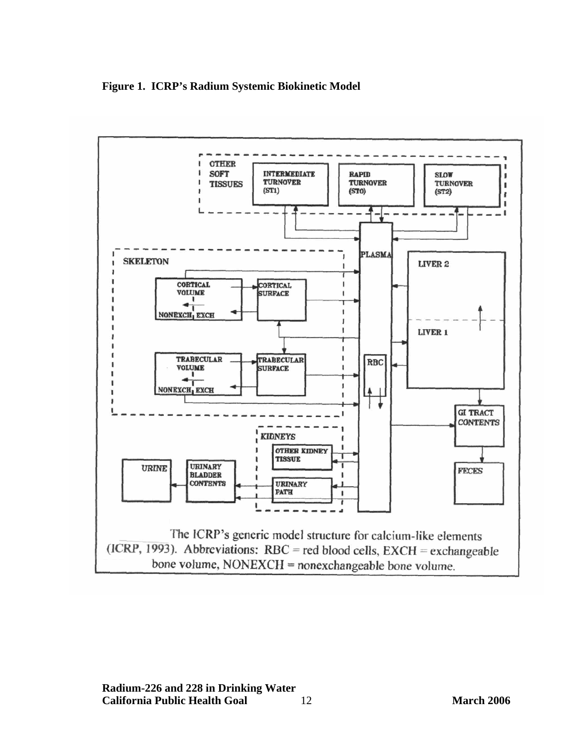**Figure 1. ICRP's Radium Systemic Biokinetic Model** 

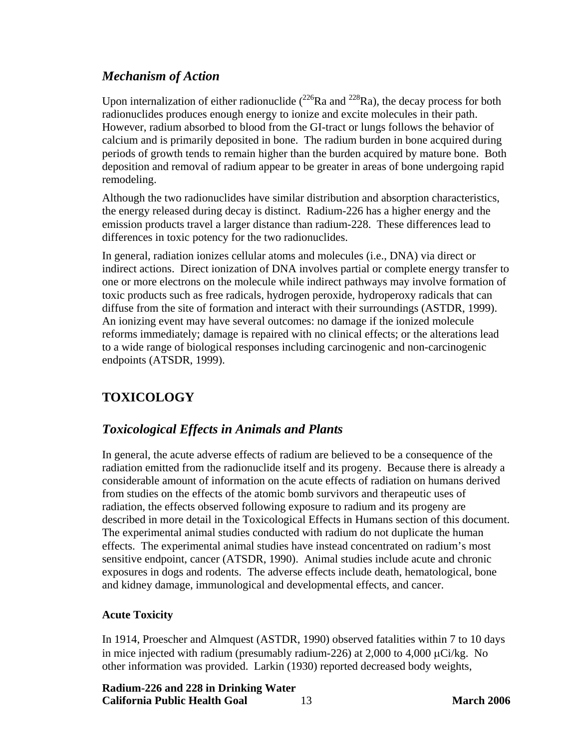# <span id="page-19-0"></span>*Mechanism of Action*

Upon internalization of either radionuclide  $(^{226}Ra$  and  $^{228}Ra$ ), the decay process for both radionuclides produces enough energy to ionize and excite molecules in their path. However, radium absorbed to blood from the GI-tract or lungs follows the behavior of calcium and is primarily deposited in bone. The radium burden in bone acquired during periods of growth tends to remain higher than the burden acquired by mature bone. Both deposition and removal of radium appear to be greater in areas of bone undergoing rapid remodeling.

Although the two radionuclides have similar distribution and absorption characteristics, the energy released during decay is distinct. Radium-226 has a higher energy and the emission products travel a larger distance than radium-228. These differences lead to differences in toxic potency for the two radionuclides.

In general, radiation ionizes cellular atoms and molecules (i.e., DNA) via direct or indirect actions. Direct ionization of DNA involves partial or complete energy transfer to one or more electrons on the molecule while indirect pathways may involve formation of toxic products such as free radicals, hydrogen peroxide, hydroperoxy radicals that can diffuse from the site of formation and interact with their surroundings (ASTDR, 1999). An ionizing event may have several outcomes: no damage if the ionized molecule reforms immediately; damage is repaired with no clinical effects; or the alterations lead to a wide range of biological responses including carcinogenic and non-carcinogenic endpoints (ATSDR, 1999).

# **TOXICOLOGY**

# *Toxicological Effects in Animals and Plants*

In general, the acute adverse effects of radium are believed to be a consequence of the radiation emitted from the radionuclide itself and its progeny. Because there is already a considerable amount of information on the acute effects of radiation on humans derived from studies on the effects of the atomic bomb survivors and therapeutic uses of radiation, the effects observed following exposure to radium and its progeny are described in more detail in the Toxicological Effects in Humans section of this document. The experimental animal studies conducted with radium do not duplicate the human effects. The experimental animal studies have instead concentrated on radium's most sensitive endpoint, cancer (ATSDR, 1990). Animal studies include acute and chronic exposures in dogs and rodents. The adverse effects include death, hematological, bone and kidney damage, immunological and developmental effects, and cancer.

#### **Acute Toxicity**

In 1914, Proescher and Almquest (ASTDR, 1990) observed fatalities within 7 to 10 days in mice injected with radium (presumably radium-226) at 2,000 to 4,000  $\mu$ Ci/kg. No other information was provided. Larkin (1930) reported decreased body weights,

**Radium-226 and 228 in Drinking Water California Public Health Goal** 13 **March 2006**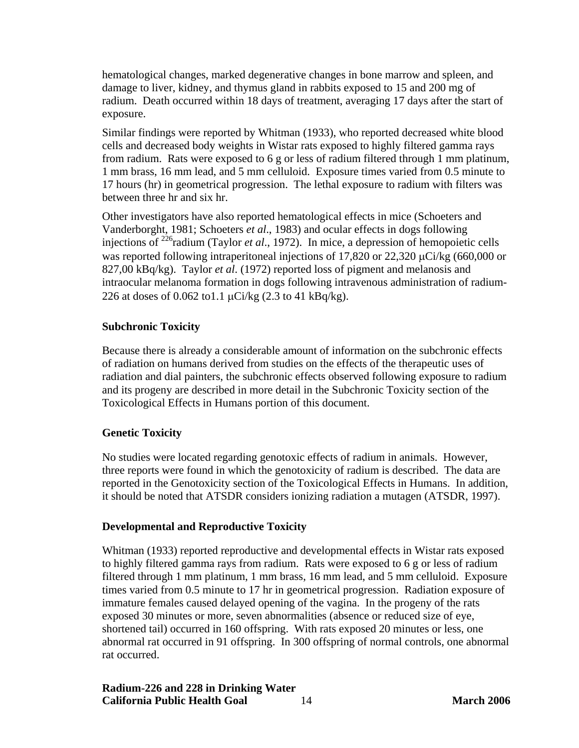<span id="page-20-0"></span>hematological changes, marked degenerative changes in bone marrow and spleen, and damage to liver, kidney, and thymus gland in rabbits exposed to 15 and 200 mg of radium. Death occurred within 18 days of treatment, averaging 17 days after the start of exposure.

Similar findings were reported by Whitman (1933), who reported decreased white blood cells and decreased body weights in Wistar rats exposed to highly filtered gamma rays from radium. Rats were exposed to 6 g or less of radium filtered through 1 mm platinum, 1 mm brass, 16 mm lead, and 5 mm celluloid. Exposure times varied from 0.5 minute to 17 hours (hr) in geometrical progression. The lethal exposure to radium with filters was between three hr and six hr.

Other investigators have also reported hematological effects in mice (Schoeters and Vanderborght, 1981; Schoeters *et al*., 1983) and ocular effects in dogs following injections of 226radium (Taylor *et al*., 1972). In mice, a depression of hemopoietic cells was reported following intraperitoneal injections of 17,820 or 22,320 μCi/kg (660,000 or 827,00 kBq/kg). Taylor *et al*. (1972) reported loss of pigment and melanosis and intraocular melanoma formation in dogs following intravenous administration of radium-226 at doses of 0.062 to 1.1  $\mu$ Ci/kg (2.3 to 41 kBq/kg).

#### **Subchronic Toxicity**

Because there is already a considerable amount of information on the subchronic effects of radiation on humans derived from studies on the effects of the therapeutic uses of radiation and dial painters, the subchronic effects observed following exposure to radium and its progeny are described in more detail in the Subchronic Toxicity section of the Toxicological Effects in Humans portion of this document.

#### **Genetic Toxicity**

No studies were located regarding genotoxic effects of radium in animals. However, three reports were found in which the genotoxicity of radium is described. The data are reported in the Genotoxicity section of the Toxicological Effects in Humans. In addition, it should be noted that ATSDR considers ionizing radiation a mutagen (ATSDR, 1997).

#### **Developmental and Reproductive Toxicity**

Whitman (1933) reported reproductive and developmental effects in Wistar rats exposed to highly filtered gamma rays from radium. Rats were exposed to 6 g or less of radium filtered through 1 mm platinum, 1 mm brass, 16 mm lead, and 5 mm celluloid. Exposure times varied from 0.5 minute to 17 hr in geometrical progression. Radiation exposure of immature females caused delayed opening of the vagina. In the progeny of the rats exposed 30 minutes or more, seven abnormalities (absence or reduced size of eye, shortened tail) occurred in 160 offspring. With rats exposed 20 minutes or less, one abnormal rat occurred in 91 offspring. In 300 offspring of normal controls, one abnormal rat occurred.

**Radium-226 and 228 in Drinking Water California Public Health Goal** 14 **March 2006**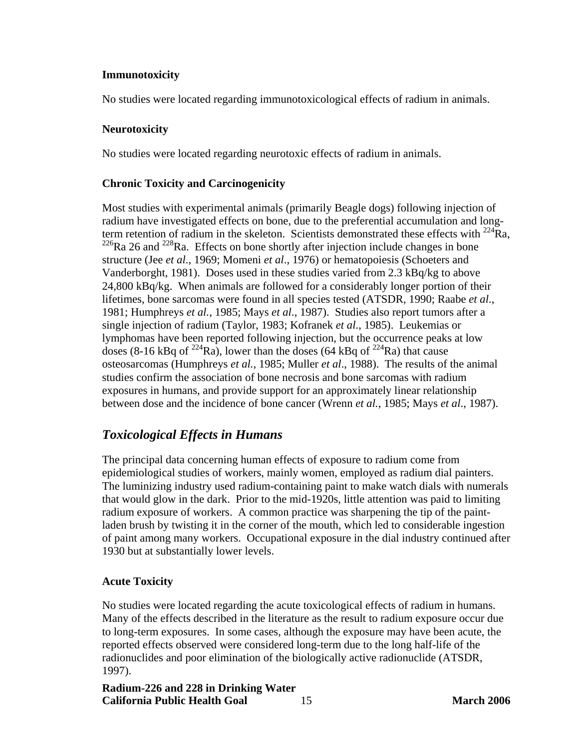#### <span id="page-21-0"></span>**Immunotoxicity**

No studies were located regarding immunotoxicological effects of radium in animals.

#### **Neurotoxicity**

No studies were located regarding neurotoxic effects of radium in animals.

#### **Chronic Toxicity and Carcinogenicity**

Most studies with experimental animals (primarily Beagle dogs) following injection of radium have investigated effects on bone, due to the preferential accumulation and longterm retention of radium in the skeleton. Scientists demonstrated these effects with  $^{224}$ Ra,  $^{226}$ Ra 26 and  $^{228}$ Ra. Effects on bone shortly after injection include changes in bone structure (Jee *et al*., 1969; Momeni *et al*., 1976) or hematopoiesis (Schoeters and Vanderborght, 1981). Doses used in these studies varied from 2.3 kBq/kg to above 24,800 kBq/kg. When animals are followed for a considerably longer portion of their lifetimes, bone sarcomas were found in all species tested (ATSDR, 1990; Raabe *et al*., 1981; Humphreys *et al.*, 1985; Mays *et al*., 1987). Studies also report tumors after a single injection of radium (Taylor, 1983; Kofranek *et al*., 1985). Leukemias or lymphomas have been reported following injection, but the occurrence peaks at low doses (8-16 kBq of <sup>224</sup>Ra), lower than the doses (64 kBq of <sup>224</sup>Ra) that cause osteosarcomas (Humphreys *et al.*, 1985; Muller *et al*., 1988). The results of the animal studies confirm the association of bone necrosis and bone sarcomas with radium exposures in humans, and provide support for an approximately linear relationship between dose and the incidence of bone cancer (Wrenn *et al.*, 1985; Mays *et al*., 1987).

# *Toxicological Effects in Humans*

The principal data concerning human effects of exposure to radium come from epidemiological studies of workers, mainly women, employed as radium dial painters. The luminizing industry used radium-containing paint to make watch dials with numerals that would glow in the dark. Prior to the mid-1920s, little attention was paid to limiting radium exposure of workers. A common practice was sharpening the tip of the paintladen brush by twisting it in the corner of the mouth, which led to considerable ingestion of paint among many workers. Occupational exposure in the dial industry continued after 1930 but at substantially lower levels.

#### **Acute Toxicity**

No studies were located regarding the acute toxicological effects of radium in humans. Many of the effects described in the literature as the result to radium exposure occur due to long-term exposures. In some cases, although the exposure may have been acute, the reported effects observed were considered long-term due to the long half-life of the radionuclides and poor elimination of the biologically active radionuclide (ATSDR, 1997).

**Radium-226 and 228 in Drinking Water California Public Health Goal** 15 **March 2006**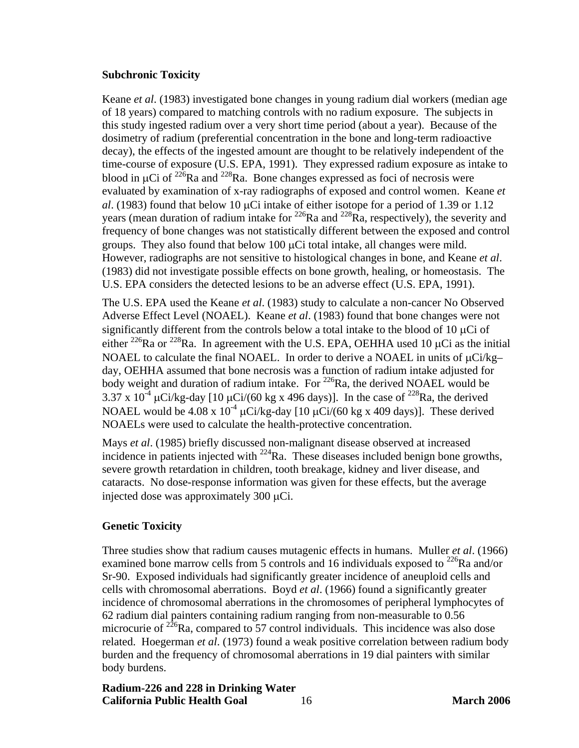#### <span id="page-22-0"></span>**Subchronic Toxicity**

Keane *et al*. (1983) investigated bone changes in young radium dial workers (median age of 18 years) compared to matching controls with no radium exposure. The subjects in this study ingested radium over a very short time period (about a year). Because of the dosimetry of radium (preferential concentration in the bone and long-term radioactive decay), the effects of the ingested amount are thought to be relatively independent of the time-course of exposure (U.S. EPA, 1991). They expressed radium exposure as intake to blood in  $\mu$ Ci of <sup>226</sup>Ra and <sup>228</sup>Ra. Bone changes expressed as foci of necrosis were evaluated by examination of x-ray radiographs of exposed and control women. Keane *et al*. (1983) found that below 10 μCi intake of either isotope for a period of 1.39 or 1.12 years (mean duration of radium intake for  $^{226}$ Ra and  $^{228}$ Ra, respectively), the severity and frequency of bone changes was not statistically different between the exposed and control groups. They also found that below 100  $\mu$ Ci total intake, all changes were mild. However, radiographs are not sensitive to histological changes in bone, and Keane *et al*. (1983) did not investigate possible effects on bone growth, healing, or homeostasis. The U.S. EPA considers the detected lesions to be an adverse effect (U.S. EPA, 1991).

The U.S. EPA used the Keane *et al*. (1983) study to calculate a non-cancer No Observed Adverse Effect Level (NOAEL). Keane *et al*. (1983) found that bone changes were not significantly different from the controls below a total intake to the blood of 10 μCi of either <sup>226</sup>Ra or <sup>228</sup>Ra. In agreement with the U.S. EPA, OEHHA used 10  $\mu$ Ci as the initial NOAEL to calculate the final NOAEL. In order to derive a NOAEL in units of μCi/kg– day, OEHHA assumed that bone necrosis was a function of radium intake adjusted for body weight and duration of radium intake. For <sup>226</sup>Ra, the derived NOAEL would be 3.37 x 10<sup>-4</sup> µCi/kg-day [10 µCi/(60 kg x 496 days)]. In the case of <sup>228</sup>Ra, the derived NOAEL would be 4.08 x  $10^{-4}$   $\mu$ Ci/kg-day [10  $\mu$ Ci/(60 kg x 409 days)]. These derived NOAELs were used to calculate the health-protective concentration.

Mays *et al*. (1985) briefly discussed non-malignant disease observed at increased incidence in patients injected with  $^{224}$ Ra. These diseases included benign bone growths, severe growth retardation in children, tooth breakage, kidney and liver disease, and cataracts. No dose-response information was given for these effects, but the average injected dose was approximately 300 μCi.

#### **Genetic Toxicity**

Three studies show that radium causes mutagenic effects in humans. Muller *et al*. (1966) examined bone marrow cells from 5 controls and 16 individuals exposed to  $^{226}$ Ra and/or Sr-90. Exposed individuals had significantly greater incidence of aneuploid cells and cells with chromosomal aberrations. Boyd *et al*. (1966) found a significantly greater incidence of chromosomal aberrations in the chromosomes of peripheral lymphocytes of 62 radium dial painters containing radium ranging from non-measurable to 0.56 microcurie of  $226$ Ra, compared to 57 control individuals. This incidence was also dose related. Hoegerman *et al*. (1973) found a weak positive correlation between radium body burden and the frequency of chromosomal aberrations in 19 dial painters with similar body burdens.

**Radium-226 and 228 in Drinking Water California Public Health Goal** 16 **March 2006**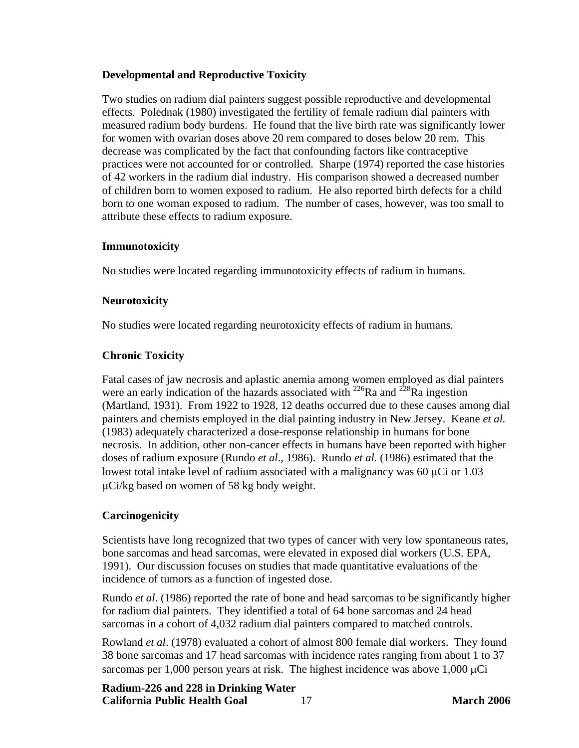#### <span id="page-23-0"></span>**Developmental and Reproductive Toxicity**

Two studies on radium dial painters suggest possible reproductive and developmental effects. Polednak (1980) investigated the fertility of female radium dial painters with measured radium body burdens. He found that the live birth rate was significantly lower for women with ovarian doses above 20 rem compared to doses below 20 rem. This decrease was complicated by the fact that confounding factors like contraceptive practices were not accounted for or controlled. Sharpe (1974) reported the case histories of 42 workers in the radium dial industry. His comparison showed a decreased number of children born to women exposed to radium. He also reported birth defects for a child born to one woman exposed to radium. The number of cases, however, was too small to attribute these effects to radium exposure.

#### **Immunotoxicity**

No studies were located regarding immunotoxicity effects of radium in humans.

#### **Neurotoxicity**

No studies were located regarding neurotoxicity effects of radium in humans.

# **Chronic Toxicity**

Fatal cases of jaw necrosis and aplastic anemia among women employed as dial painters were an early indication of the hazards associated with <sup>226</sup>Ra and <sup>228</sup>Ra ingestion (Martland, 1931). From 1922 to 1928, 12 deaths occurred due to these causes among dial painters and chemists employed in the dial painting industry in New Jersey. Keane *et al.* (1983) adequately characterized a dose-response relationship in humans for bone necrosis. In addition, other non-cancer effects in humans have been reported with higher doses of radium exposure (Rundo *et al*., 1986). Rundo *et al.* (1986) estimated that the lowest total intake level of radium associated with a malignancy was  $60 \mu Ci$  or 1.03 μCi/kg based on women of 58 kg body weight.

# **Carcinogenicity**

Scientists have long recognized that two types of cancer with very low spontaneous rates, bone sarcomas and head sarcomas, were elevated in exposed dial workers (U.S. EPA, 1991). Our discussion focuses on studies that made quantitative evaluations of the incidence of tumors as a function of ingested dose.

Rundo *et al*. (1986) reported the rate of bone and head sarcomas to be significantly higher for radium dial painters. They identified a total of 64 bone sarcomas and 24 head sarcomas in a cohort of 4,032 radium dial painters compared to matched controls.

Rowland *et al*. (1978) evaluated a cohort of almost 800 female dial workers. They found 38 bone sarcomas and 17 head sarcomas with incidence rates ranging from about 1 to 37 sarcomas per 1,000 person years at risk. The highest incidence was above  $1,000 \mu Ci$ 

**Radium-226 and 228 in Drinking Water California Public Health Goal** 17 **March 2006**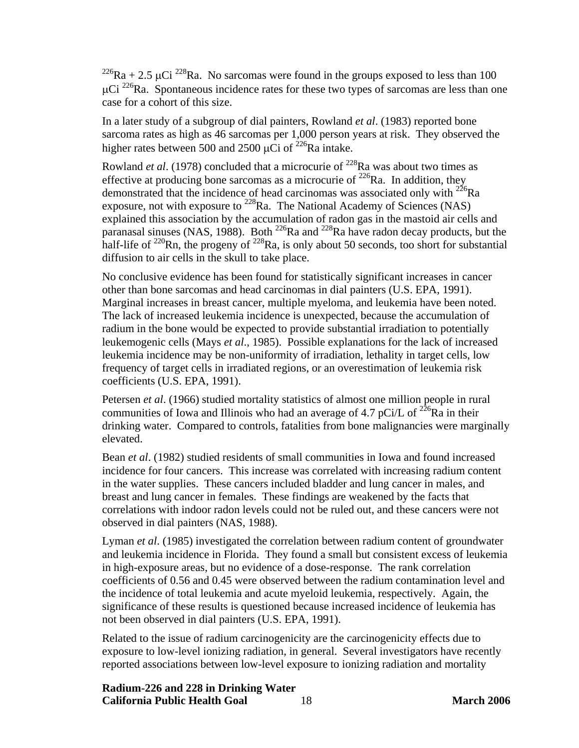<sup>226</sup>Ra + 2.5 µCi <sup>228</sup>Ra. No sarcomas were found in the groups exposed to less than 100  $\mu$ Ci <sup>226</sup>Ra. Spontaneous incidence rates for these two types of sarcomas are less than one case for a cohort of this size.

In a later study of a subgroup of dial painters, Rowland *et al*. (1983) reported bone sarcoma rates as high as 46 sarcomas per 1,000 person years at risk. They observed the higher rates between 500 and 2500 μCi of  $^{226}$ Ra intake.

Rowland *et al.* (1978) concluded that a microcurie of <sup>228</sup>Ra was about two times as effective at producing bone sarcomas as a microcurie of  $^{226}$ Ra. In addition, they demonstrated that the incidence of head carcinomas was associated only with  $^{226}$ Ra exposure, not with exposure to <sup>228</sup>Ra. The National Academy of Sciences (NAS) explained this association by the accumulation of radon gas in the mastoid air cells and paranasal sinuses (NAS, 1988). Both <sup>226</sup>Ra and <sup>228</sup>Ra have radon decay products, but the half-life of  $^{220}$ Rn, the progeny of  $^{228}$ Ra, is only about 50 seconds, too short for substantial diffusion to air cells in the skull to take place.

No conclusive evidence has been found for statistically significant increases in cancer other than bone sarcomas and head carcinomas in dial painters (U.S. EPA, 1991). Marginal increases in breast cancer, multiple myeloma, and leukemia have been noted. The lack of increased leukemia incidence is unexpected, because the accumulation of radium in the bone would be expected to provide substantial irradiation to potentially leukemogenic cells (Mays *et al*., 1985). Possible explanations for the lack of increased leukemia incidence may be non-uniformity of irradiation, lethality in target cells, low frequency of target cells in irradiated regions, or an overestimation of leukemia risk coefficients (U.S. EPA, 1991).

Petersen *et al*. (1966) studied mortality statistics of almost one million people in rural communities of Iowa and Illinois who had an average of 4.7 pCi/L of  $^{226}$ Ra in their drinking water. Compared to controls, fatalities from bone malignancies were marginally elevated.

Bean *et al*. (1982) studied residents of small communities in Iowa and found increased incidence for four cancers. This increase was correlated with increasing radium content in the water supplies. These cancers included bladder and lung cancer in males, and breast and lung cancer in females. These findings are weakened by the facts that correlations with indoor radon levels could not be ruled out, and these cancers were not observed in dial painters (NAS, 1988).

Lyman *et al*. (1985) investigated the correlation between radium content of groundwater and leukemia incidence in Florida. They found a small but consistent excess of leukemia in high-exposure areas, but no evidence of a dose-response. The rank correlation coefficients of 0.56 and 0.45 were observed between the radium contamination level and the incidence of total leukemia and acute myeloid leukemia, respectively. Again, the significance of these results is questioned because increased incidence of leukemia has not been observed in dial painters (U.S. EPA, 1991).

Related to the issue of radium carcinogenicity are the carcinogenicity effects due to exposure to low-level ionizing radiation, in general. Several investigators have recently reported associations between low-level exposure to ionizing radiation and mortality

**Radium-226 and 228 in Drinking Water California Public Health Goal** 18 **March 2006**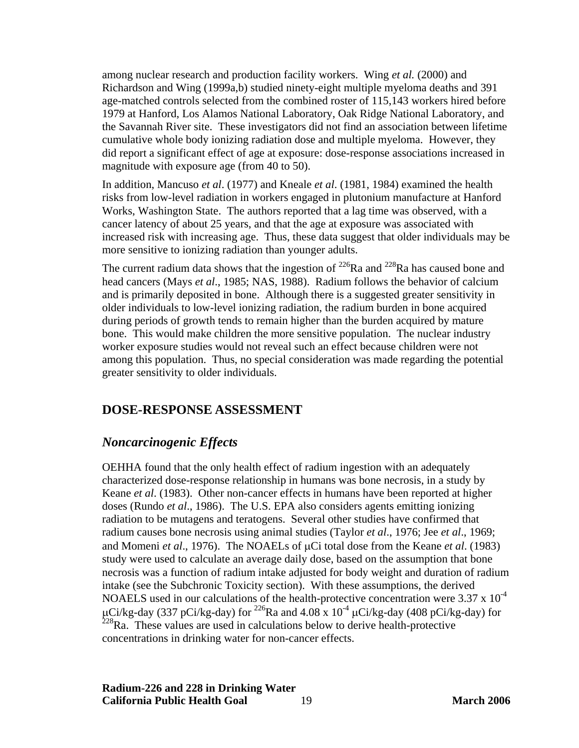<span id="page-25-0"></span>among nuclear research and production facility workers. Wing *et al.* (2000) and Richardson and Wing (1999a,b) studied ninety-eight multiple myeloma deaths and 391 age-matched controls selected from the combined roster of 115,143 workers hired before 1979 at Hanford, Los Alamos National Laboratory, Oak Ridge National Laboratory, and the Savannah River site. These investigators did not find an association between lifetime cumulative whole body ionizing radiation dose and multiple myeloma. However, they did report a significant effect of age at exposure: dose-response associations increased in magnitude with exposure age (from 40 to 50).

In addition, Mancuso *et al*. (1977) and Kneale *et al*. (1981, 1984) examined the health risks from low-level radiation in workers engaged in plutonium manufacture at Hanford Works, Washington State. The authors reported that a lag time was observed, with a cancer latency of about 25 years, and that the age at exposure was associated with increased risk with increasing age. Thus, these data suggest that older individuals may be more sensitive to ionizing radiation than younger adults.

The current radium data shows that the ingestion of  $^{226}$ Ra and  $^{228}$ Ra has caused bone and head cancers (Mays *et al*., 1985; NAS, 1988). Radium follows the behavior of calcium and is primarily deposited in bone. Although there is a suggested greater sensitivity in older individuals to low-level ionizing radiation, the radium burden in bone acquired during periods of growth tends to remain higher than the burden acquired by mature bone. This would make children the more sensitive population. The nuclear industry worker exposure studies would not reveal such an effect because children were not among this population. Thus, no special consideration was made regarding the potential greater sensitivity to older individuals.

# **DOSE-RESPONSE ASSESSMENT**

# *Noncarcinogenic Effects*

OEHHA found that the only health effect of radium ingestion with an adequately characterized dose-response relationship in humans was bone necrosis, in a study by Keane *et al*. (1983). Other non-cancer effects in humans have been reported at higher doses (Rundo *et al*., 1986). The U.S. EPA also considers agents emitting ionizing radiation to be mutagens and teratogens. Several other studies have confirmed that radium causes bone necrosis using animal studies (Taylor *et al*., 1976; Jee *et al*., 1969; and Momeni *et al*., 1976). The NOAELs of μCi total dose from the Keane *et al*. (1983) study were used to calculate an average daily dose, based on the assumption that bone necrosis was a function of radium intake adjusted for body weight and duration of radium intake (see the Subchronic Toxicity section). With these assumptions, the derived NOAELS used in our calculations of the health-protective concentration were 3.37 x 10<sup>-4</sup> μCi/kg-day (337 pCi/kg-day) for <sup>226</sup>Ra and 4.08 x 10<sup>-4</sup> μCi/kg-day (408 pCi/kg-day) for  $^{228}$ Ra. These values are used in calculations below to derive health-protective concentrations in drinking water for non-cancer effects.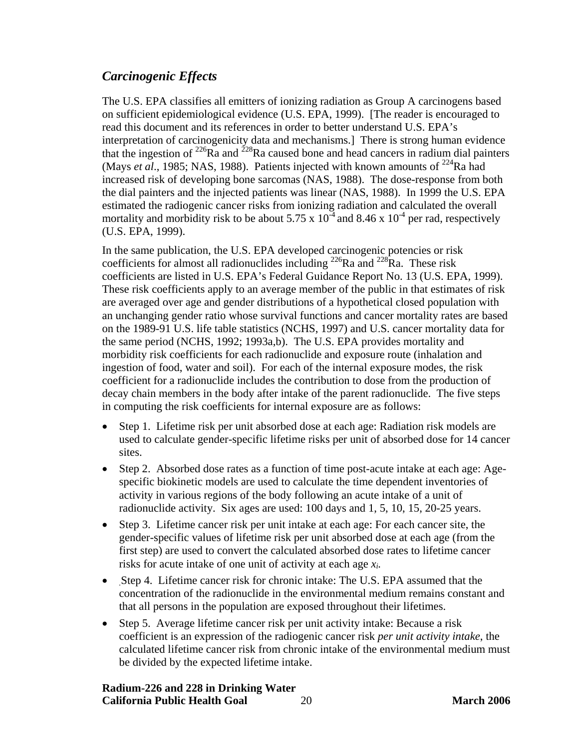# <span id="page-26-0"></span>*Carcinogenic Effects*

The U.S. EPA classifies all emitters of ionizing radiation as Group A carcinogens based on sufficient epidemiological evidence (U.S. EPA, 1999). [The reader is encouraged to read this document and its references in order to better understand U.S. EPA's interpretation of carcinogenicity data and mechanisms.] There is strong human evidence that the ingestion of  $^{226}$ Ra and  $^{228}$ Ra caused bone and head cancers in radium dial painters (Mays *et al.*, 1985; NAS, 1988). Patients injected with known amounts of <sup>224</sup>Ra had increased risk of developing bone sarcomas (NAS, 1988). The dose-response from both the dial painters and the injected patients was linear (NAS, 1988). In 1999 the U.S. EPA estimated the radiogenic cancer risks from ionizing radiation and calculated the overall mortality and morbidity risk to be about 5.75 x  $10^{-4}$  and 8.46 x  $10^{-4}$  per rad, respectively (U.S. EPA, 1999).

In the same publication, the U.S. EPA developed carcinogenic potencies or risk coefficients for almost all radionuclides including  $^{226}$ Ra and  $^{228}$ Ra. These risk coefficients are listed in U.S. EPA's Federal Guidance Report No. 13 (U.S. EPA, 1999). These risk coefficients apply to an average member of the public in that estimates of risk are averaged over age and gender distributions of a hypothetical closed population with an unchanging gender ratio whose survival functions and cancer mortality rates are based on the 1989-91 U.S. life table statistics (NCHS, 1997) and U.S. cancer mortality data for the same period (NCHS, 1992; 1993a,b). The U.S. EPA provides mortality and morbidity risk coefficients for each radionuclide and exposure route (inhalation and ingestion of food, water and soil). For each of the internal exposure modes, the risk coefficient for a radionuclide includes the contribution to dose from the production of decay chain members in the body after intake of the parent radionuclide. The five steps in computing the risk coefficients for internal exposure are as follows:

- Step 1. Lifetime risk per unit absorbed dose at each age: Radiation risk models are used to calculate gender-specific lifetime risks per unit of absorbed dose for 14 cancer sites.
- Step 2. Absorbed dose rates as a function of time post-acute intake at each age: Agespecific biokinetic models are used to calculate the time dependent inventories of activity in various regions of the body following an acute intake of a unit of radionuclide activity. Six ages are used: 100 days and 1, 5, 10, 15, 20-25 years.
- Step 3. Lifetime cancer risk per unit intake at each age: For each cancer site, the gender-specific values of lifetime risk per unit absorbed dose at each age (from the first step) are used to convert the calculated absorbed dose rates to lifetime cancer risks for acute intake of one unit of activity at each age *xi.*
- Step 4. Lifetime cancer risk for chronic intake: The U.S. EPA assumed that the concentration of the radionuclide in the environmental medium remains constant and that all persons in the population are exposed throughout their lifetimes.
- Step 5. Average lifetime cancer risk per unit activity intake: Because a risk coefficient is an expression of the radiogenic cancer risk *per unit activity intake*, the calculated lifetime cancer risk from chronic intake of the environmental medium must be divided by the expected lifetime intake.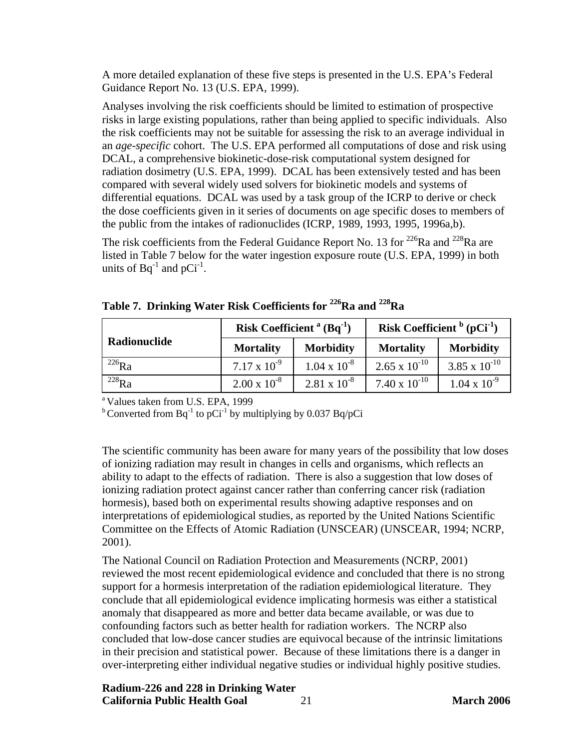A more detailed explanation of these five steps is presented in the U.S. EPA's Federal Guidance Report No. 13 (U.S. EPA, 1999).

Analyses involving the risk coefficients should be limited to estimation of prospective risks in large existing populations, rather than being applied to specific individuals. Also the risk coefficients may not be suitable for assessing the risk to an average individual in an *age-specific* cohort. The U.S. EPA performed all computations of dose and risk using DCAL, a comprehensive biokinetic-dose-risk computational system designed for radiation dosimetry (U.S. EPA, 1999). DCAL has been extensively tested and has been compared with several widely used solvers for biokinetic models and systems of differential equations. DCAL was used by a task group of the ICRP to derive or check the dose coefficients given in it series of documents on age specific doses to members of the public from the intakes of radionuclides (ICRP, 1989, 1993, 1995, 1996a,b).

The risk coefficients from the Federal Guidance Report No. 13 for  $^{226}$ Ra and  $^{228}$ Ra are listed in Table 7 below for the water ingestion exposure route (U.S. EPA, 1999) in both units of  $Bq^{-1}$  and  $pCi^{-1}$ .

|              | Risk Coefficient <sup>a</sup> $(Bq^{-1})$ |                       | Risk Coefficient $\frac{b}{c}$ (pCi <sup>-1</sup> ) |                        |  |
|--------------|-------------------------------------------|-----------------------|-----------------------------------------------------|------------------------|--|
| Radionuclide | <b>Mortality</b>                          | <b>Morbidity</b>      | <b>Mortality</b>                                    | <b>Morbidity</b>       |  |
| $^{226}Ra$   | $7.17 \times 10^{-9}$                     | $1.04 \times 10^{-8}$ | $2.65 \times 10^{-10}$                              | $3.85 \times 10^{-10}$ |  |
| $^{228}Ra$   | $2.00 \times 10^{-8}$                     | $2.81 \times 10^{-8}$ | $7.40 \times 10^{-10}$                              | $1.04 \times 10^{-9}$  |  |

**Table 7. Drinking Water Risk Coefficients for 226Ra and 228Ra** 

<sup>a</sup> Values taken from U.S. EPA, 1999

<sup>b</sup> Converted from Bq<sup>-1</sup> to pCi<sup>-1</sup> by multiplying by 0.037 Bq/pCi

The scientific community has been aware for many years of the possibility that low doses of ionizing radiation may result in changes in cells and organisms, which reflects an ability to adapt to the effects of radiation. There is also a suggestion that low doses of ionizing radiation protect against cancer rather than conferring cancer risk (radiation hormesis), based both on experimental results showing adaptive responses and on interpretations of epidemiological studies, as reported by the United Nations Scientific Committee on the Effects of Atomic Radiation (UNSCEAR) (UNSCEAR, 1994; NCRP, 2001).

The National Council on Radiation Protection and Measurements (NCRP, 2001) reviewed the most recent epidemiological evidence and concluded that there is no strong support for a hormesis interpretation of the radiation epidemiological literature. They conclude that all epidemiological evidence implicating hormesis was either a statistical anomaly that disappeared as more and better data became available, or was due to confounding factors such as better health for radiation workers. The NCRP also concluded that low-dose cancer studies are equivocal because of the intrinsic limitations in their precision and statistical power. Because of these limitations there is a danger in over-interpreting either individual negative studies or individual highly positive studies.

#### **Radium-226 and 228 in Drinking Water California Public Health Goal** 21 **March 2006**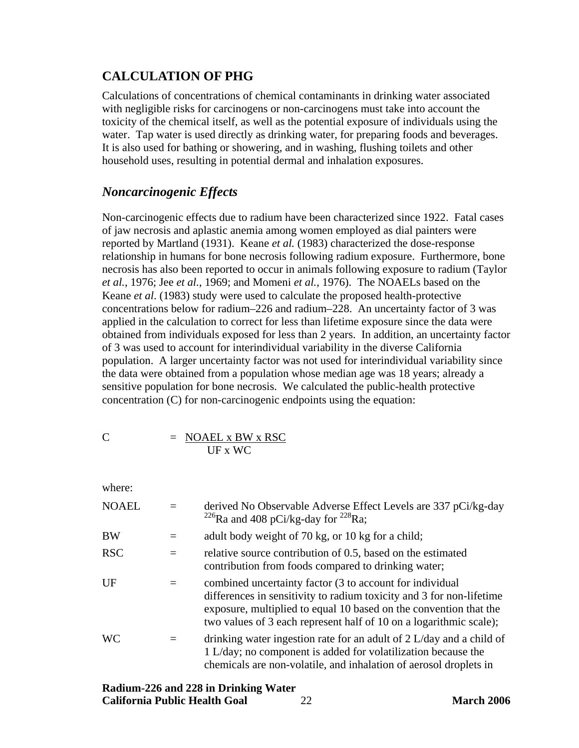# <span id="page-28-0"></span>**CALCULATION OF PHG**

Calculations of concentrations of chemical contaminants in drinking water associated with negligible risks for carcinogens or non-carcinogens must take into account the toxicity of the chemical itself, as well as the potential exposure of individuals using the water. Tap water is used directly as drinking water, for preparing foods and beverages. It is also used for bathing or showering, and in washing, flushing toilets and other household uses, resulting in potential dermal and inhalation exposures.

# *Noncarcinogenic Effects*

Non-carcinogenic effects due to radium have been characterized since 1922. Fatal cases of jaw necrosis and aplastic anemia among women employed as dial painters were reported by Martland (1931). Keane *et al.* (1983) characterized the dose-response relationship in humans for bone necrosis following radium exposure. Furthermore, bone necrosis has also been reported to occur in animals following exposure to radium (Taylor *et al.*, 1976; Jee *et al.*, 1969; and Momeni *et al.*, 1976). The NOAELs based on the Keane *et al*. (1983) study were used to calculate the proposed health-protective concentrations below for radium–226 and radium–228. An uncertainty factor of 3 was applied in the calculation to correct for less than lifetime exposure since the data were obtained from individuals exposed for less than 2 years. In addition, an uncertainty factor of 3 was used to account for interindividual variability in the diverse California population. A larger uncertainty factor was not used for interindividual variability since the data were obtained from a population whose median age was 18 years; already a sensitive population for bone necrosis. We calculated the public-health protective concentration (C) for non-carcinogenic endpoints using the equation:

$$
C = \frac{NOAEL \times BW \times RSC}{UF \times WC}
$$

where:

| <b>NOAEL</b> | $=$ | derived No Observable Adverse Effect Levels are 337 pCi/kg-day<br><sup>226</sup> Ra and 408 pCi/kg-day for <sup>228</sup> Ra;                                                                                                                                               |
|--------------|-----|-----------------------------------------------------------------------------------------------------------------------------------------------------------------------------------------------------------------------------------------------------------------------------|
| <b>BW</b>    |     | adult body weight of 70 kg, or 10 kg for a child;                                                                                                                                                                                                                           |
| <b>RSC</b>   | $=$ | relative source contribution of 0.5, based on the estimated<br>contribution from foods compared to drinking water;                                                                                                                                                          |
| UF           | $=$ | combined uncertainty factor (3 to account for individual<br>differences in sensitivity to radium toxicity and 3 for non-lifetime<br>exposure, multiplied to equal 10 based on the convention that the<br>two values of 3 each represent half of 10 on a logarithmic scale); |
| <b>WC</b>    |     | drinking water ingestion rate for an adult of $2$ L/day and a child of<br>1 L/day; no component is added for volatilization because the<br>chemicals are non-volatile, and inhalation of aerosol droplets in                                                                |

| Radium-226 and 228 in Drinking Water |  |
|--------------------------------------|--|
| <b>California Public Health Goal</b> |  |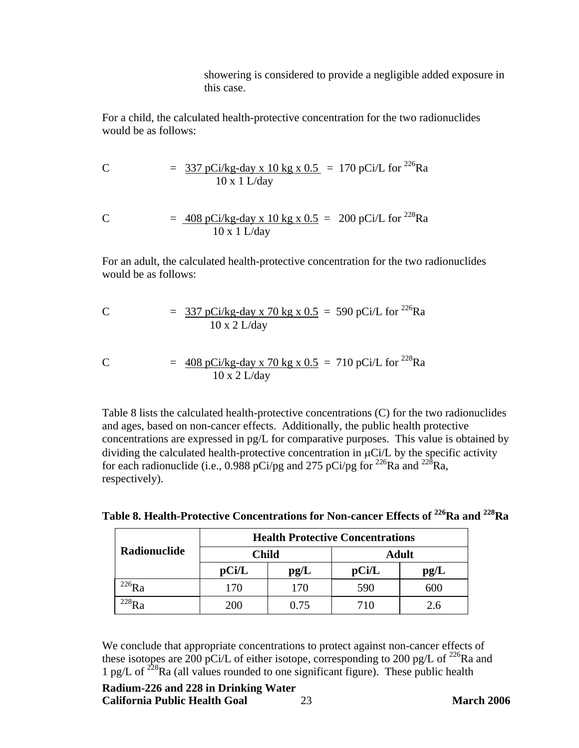showering is considered to provide a negligible added exposure in this case.

For a child, the calculated health-protective concentration for the two radionuclides would be as follows:

C = 
$$
\frac{337 \text{ pCi/kg-day} \times 10 \text{ kg} \times 0.5}{10 \times 1 \text{ L/day}} = 170 \text{ pCi/L} \text{ for }^{226}\text{Ra}
$$

C = 
$$
\frac{408 \text{ pCi/kg-day x } 10 \text{ kg x } 0.5}{10 \text{ x } 1 \text{ L/day}}
$$
 = 200 pCi/L for <sup>228</sup>Ra

For an adult, the calculated health-protective concentration for the two radionuclides would be as follows:

C = 
$$
\frac{337 \text{ pCi/kg-day x } 70 \text{ kg x } 0.5}{10 \text{ x } 2 \text{ L/day}} = 590 \text{ pCi/L for }^{226}\text{Ra}
$$

C = 
$$
\frac{408 \text{ pCi/kg-day x } 70 \text{ kg x } 0.5}{10 \text{ x } 2 \text{ L/day}}
$$
 = 710 pCi/L for <sup>228</sup>Ra

Table 8 lists the calculated health-protective concentrations (C) for the two radionuclides and ages, based on non-cancer effects. Additionally, the public health protective concentrations are expressed in pg/L for comparative purposes. This value is obtained by dividing the calculated health-protective concentration in μCi/L by the specific activity for each radionuclide (i.e.,  $0.988$  pCi/pg and 275 pCi/pg for <sup>226</sup>Ra and <sup>228</sup>Ra, respectively).

| Radionuclide | <b>Health Protective Concentrations</b> |      |              |      |
|--------------|-----------------------------------------|------|--------------|------|
|              | Child                                   |      | <b>Adult</b> |      |
|              | $\bf p$ Ci/L                            | pg/L | $\bf pCi/L$  | pg/L |
|              | 170                                     | 170  | 590          | 600  |
|              | 200                                     | 0.75 | 710          | 2.6  |

Table 8. Health-Protective Concentrations for Non-cancer Effects of <sup>226</sup>Ra and <sup>228</sup>Ra

We conclude that appropriate concentrations to protect against non-cancer effects of these isotopes are 200 pCi/L of either isotope, corresponding to 200 pg/L of <sup>226</sup>Ra and 1 pg/L of  $^{228}$ Ra (all values rounded to one significant figure). These public health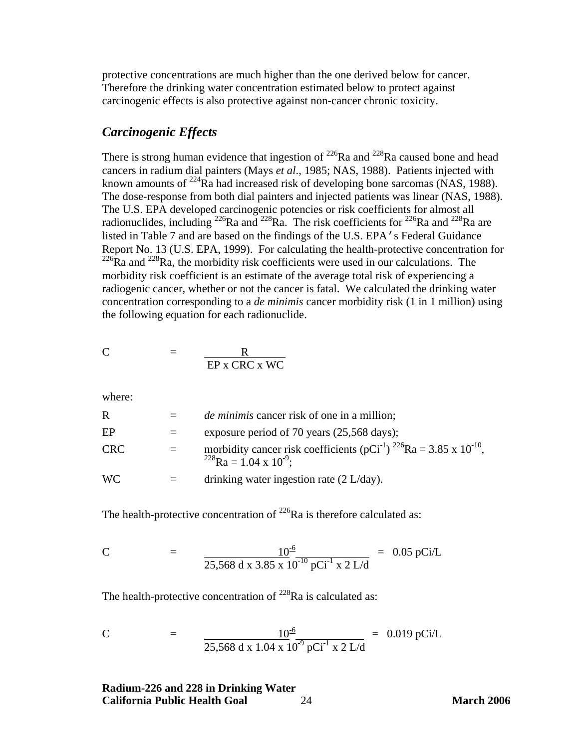<span id="page-30-0"></span>protective concentrations are much higher than the one derived below for cancer. Therefore the drinking water concentration estimated below to protect against carcinogenic effects is also protective against non-cancer chronic toxicity.

#### *Carcinogenic Effects*

There is strong human evidence that ingestion of  $^{226}$ Ra and  $^{228}$ Ra caused bone and head cancers in radium dial painters (Mays *et al*., 1985; NAS, 1988). Patients injected with known amounts of <sup>224</sup>Ra had increased risk of developing bone sarcomas (NAS, 1988). The dose-response from both dial painters and injected patients was linear (NAS, 1988). The U.S. EPA developed carcinogenic potencies or risk coefficients for almost all radionuclides, including <sup>226</sup>Ra and <sup>228</sup>Ra. The risk coefficients for <sup>226</sup>Ra and <sup>228</sup>Ra are listed in Table 7 and are based on the findings of the U.S. EPA's Federal Guidance Report No. 13 (U.S. EPA, 1999). For calculating the health-protective concentration for  $^{226}$ Ra and  $^{228}$ Ra, the morbidity risk coefficients were used in our calculations. The morbidity risk coefficient is an estimate of the average total risk of experiencing a radiogenic cancer, whether or not the cancer is fatal. We calculated the drinking water concentration corresponding to a *de minimis* cancer morbidity risk (1 in 1 million) using the following equation for each radionuclide.

$$
C = \frac{R}{\text{EP } x \text{ CRC } x \text{ WC}}
$$

where:

| R          | <i>de minimis</i> cancer risk of one in a million;                                                                                                |
|------------|---------------------------------------------------------------------------------------------------------------------------------------------------|
| EP         | exposure period of 70 years (25,568 days);                                                                                                        |
| <b>CRC</b> | morbidity cancer risk coefficients (pCi <sup>-1</sup> ) <sup>226</sup> Ra = 3.85 x 10 <sup>-10</sup> ,<br>$^{228}$ Ra = 1.04 x 10 <sup>-9</sup> ; |
| <b>WC</b>  | drinking water ingestion rate $(2 L/day)$ .                                                                                                       |

The health-protective concentration of  $^{226}$ Ra is therefore calculated as:

C = 
$$
\frac{10^{-6}}{25,568 \text{ d x } 3.85 \text{ x } 10^{-10} \text{ pCi}^{-1} \text{ x } 2 \text{ L/d}}
$$
 = 0.05 pCi/L

The health-protective concentration of  $^{228}$ Ra is calculated as:

C = 
$$
\frac{10^{-6}}{25,568 \text{ d x } 1.04 \text{ x } 10^{-9} \text{ pCi}^{-1} \text{ x } 2 \text{ L/d}}
$$
 = 0.019 pCi/L

**Radium-226 and 228 in Drinking Water California Public Health Goal** 24 **March 2006**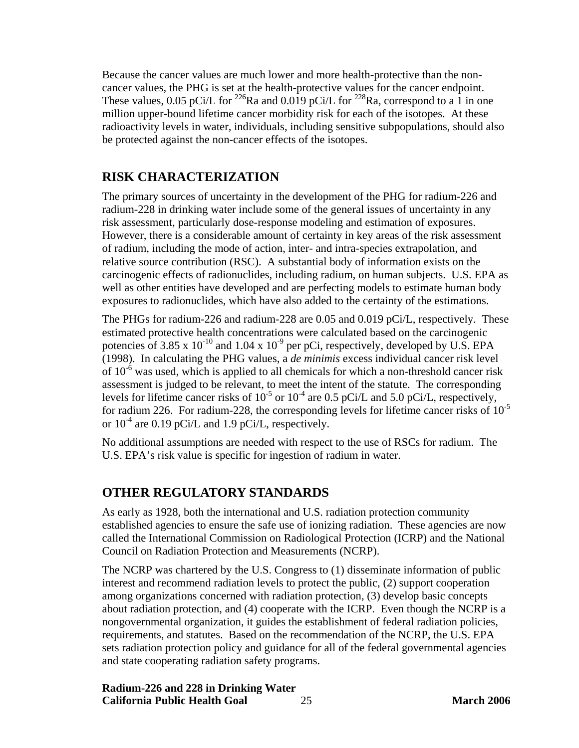<span id="page-31-0"></span>Because the cancer values are much lower and more health-protective than the noncancer values, the PHG is set at the health-protective values for the cancer endpoint. These values, 0.05 pCi/L for <sup>226</sup>Ra and 0.019 pCi/L for <sup>228</sup>Ra, correspond to a 1 in one million upper-bound lifetime cancer morbidity risk for each of the isotopes. At these radioactivity levels in water, individuals, including sensitive subpopulations, should also be protected against the non-cancer effects of the isotopes.

# **RISK CHARACTERIZATION**

The primary sources of uncertainty in the development of the PHG for radium-226 and radium-228 in drinking water include some of the general issues of uncertainty in any risk assessment, particularly dose-response modeling and estimation of exposures. However, there is a considerable amount of certainty in key areas of the risk assessment of radium, including the mode of action, inter- and intra-species extrapolation, and relative source contribution (RSC). A substantial body of information exists on the carcinogenic effects of radionuclides, including radium, on human subjects. U.S. EPA as well as other entities have developed and are perfecting models to estimate human body exposures to radionuclides, which have also added to the certainty of the estimations.

The PHGs for radium-226 and radium-228 are 0.05 and 0.019 pCi/L, respectively. These estimated protective health concentrations were calculated based on the carcinogenic potencies of 3.85 x  $10^{-10}$  and 1.04 x  $10^{-9}$  per pCi, respectively, developed by U.S. EPA (1998). In calculating the PHG values, a *de minimis* excess individual cancer risk level of  $10^{-6}$  was used, which is applied to all chemicals for which a non-threshold cancer risk assessment is judged to be relevant, to meet the intent of the statute. The corresponding levels for lifetime cancer risks of  $10^{-5}$  or  $10^{-4}$  are 0.5 pCi/L and 5.0 pCi/L, respectively, for radium 226. For radium-228, the corresponding levels for lifetime cancer risks of  $10^{-5}$ or  $10^{-4}$  are 0.19 pCi/L and 1.9 pCi/L, respectively.

No additional assumptions are needed with respect to the use of RSCs for radium. The U.S. EPA's risk value is specific for ingestion of radium in water.

# **OTHER REGULATORY STANDARDS**

As early as 1928, both the international and U.S. radiation protection community established agencies to ensure the safe use of ionizing radiation. These agencies are now called the International Commission on Radiological Protection (ICRP) and the National Council on Radiation Protection and Measurements (NCRP).

The NCRP was chartered by the U.S. Congress to (1) disseminate information of public interest and recommend radiation levels to protect the public, (2) support cooperation among organizations concerned with radiation protection, (3) develop basic concepts about radiation protection, and (4) cooperate with the ICRP. Even though the NCRP is a nongovernmental organization, it guides the establishment of federal radiation policies, requirements, and statutes. Based on the recommendation of the NCRP, the U.S. EPA sets radiation protection policy and guidance for all of the federal governmental agencies and state cooperating radiation safety programs.

**Radium-226 and 228 in Drinking Water California Public Health Goal** 25 **March 2006**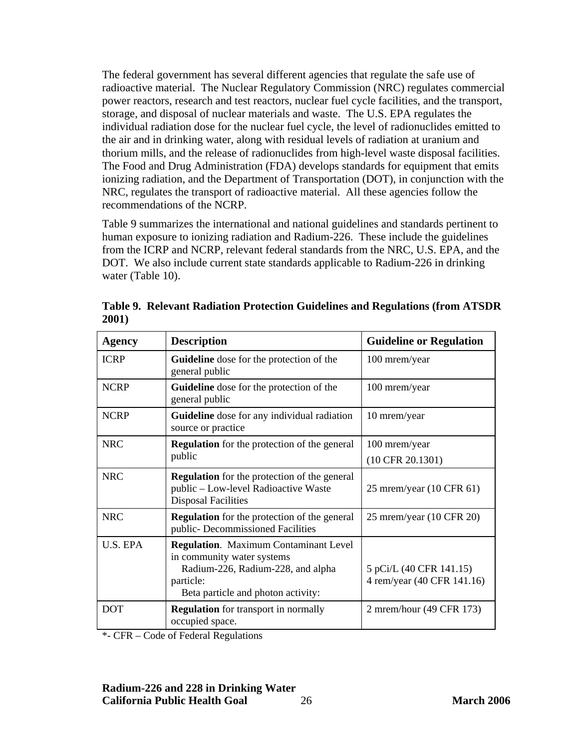The federal government has several different agencies that regulate the safe use of radioactive material. The Nuclear Regulatory Commission (NRC) regulates commercial power reactors, research and test reactors, nuclear fuel cycle facilities, and the transport, storage, and disposal of nuclear materials and waste. The U.S. EPA regulates the individual radiation dose for the nuclear fuel cycle, the level of radionuclides emitted to the air and in drinking water, along with residual levels of radiation at uranium and thorium mills, and the release of radionuclides from high-level waste disposal facilities. The Food and Drug Administration (FDA) develops standards for equipment that emits ionizing radiation, and the Department of Transportation (DOT), in conjunction with the NRC, regulates the transport of radioactive material. All these agencies follow the recommendations of the NCRP.

Table 9 summarizes the international and national guidelines and standards pertinent to human exposure to ionizing radiation and Radium-226. These include the guidelines from the ICRP and NCRP, relevant federal standards from the NRC, U.S. EPA, and the DOT. We also include current state standards applicable to Radium-226 in drinking water (Table 10).

| <b>Agency</b> | <b>Description</b>                                                                                                                                                 | <b>Guideline or Regulation</b>                        |  |
|---------------|--------------------------------------------------------------------------------------------------------------------------------------------------------------------|-------------------------------------------------------|--|
| <b>ICRP</b>   | <b>Guideline</b> dose for the protection of the<br>general public                                                                                                  | 100 mrem/year                                         |  |
| <b>NCRP</b>   | <b>Guideline</b> dose for the protection of the<br>general public                                                                                                  | 100 mrem/year                                         |  |
| <b>NCRP</b>   | <b>Guideline</b> dose for any individual radiation<br>source or practice                                                                                           | 10 mrem/year                                          |  |
| <b>NRC</b>    | <b>Regulation</b> for the protection of the general                                                                                                                | 100 mrem/year                                         |  |
|               | public                                                                                                                                                             | $(10$ CFR $20.1301)$                                  |  |
| <b>NRC</b>    | <b>Regulation</b> for the protection of the general<br>public - Low-level Radioactive Waste<br><b>Disposal Facilities</b>                                          | 25 mrem/year (10 CFR 61)                              |  |
| <b>NRC</b>    | <b>Regulation</b> for the protection of the general<br>public- Decommissioned Facilities                                                                           | 25 mrem/year (10 CFR 20)                              |  |
| U.S. EPA      | <b>Regulation.</b> Maximum Contaminant Level<br>in community water systems<br>Radium-226, Radium-228, and alpha<br>particle:<br>Beta particle and photon activity: | 5 pCi/L (40 CFR 141.15)<br>4 rem/year (40 CFR 141.16) |  |
| <b>DOT</b>    | <b>Regulation</b> for transport in normally<br>occupied space.                                                                                                     | 2 mrem/hour (49 CFR 173)                              |  |

**Table 9. Relevant Radiation Protection Guidelines and Regulations (from ATSDR 2001)** 

\*- CFR – Code of Federal Regulations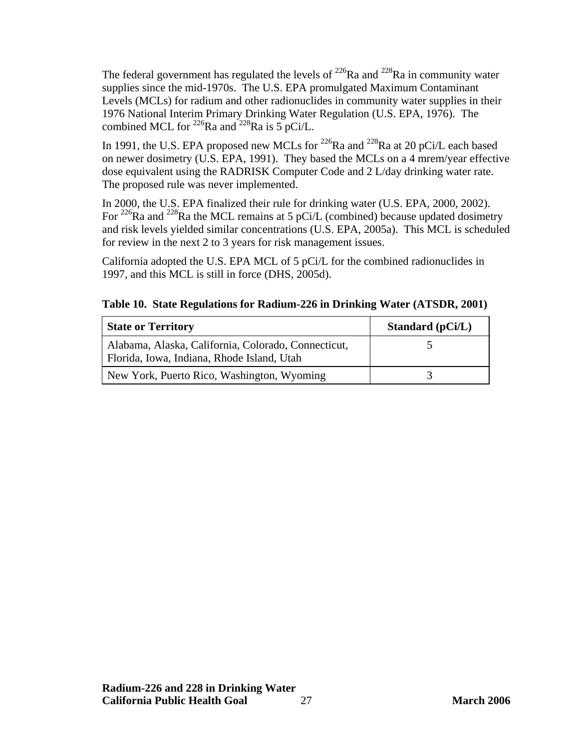The federal government has regulated the levels of  $^{226}$ Ra and  $^{228}$ Ra in community water supplies since the mid-1970s. The U.S. EPA promulgated Maximum Contaminant Levels (MCLs) for radium and other radionuclides in community water supplies in their 1976 National Interim Primary Drinking Water Regulation (U.S. EPA, 1976). The combined MCL for <sup>226</sup>Ra and <sup>228</sup>Ra is 5 pCi/L.

In 1991, the U.S. EPA proposed new MCLs for  $^{226}$ Ra and  $^{228}$ Ra at 20 pCi/L each based on newer dosimetry (U.S. EPA, 1991). They based the MCLs on a 4 mrem/year effective dose equivalent using the RADRISK Computer Code and 2 L/day drinking water rate. The proposed rule was never implemented.

In 2000, the U.S. EPA finalized their rule for drinking water (U.S. EPA, 2000, 2002). For <sup>226</sup>Ra and <sup>228</sup>Ra the MCL remains at 5 pCi/L (combined) because updated dosimetry and risk levels yielded similar concentrations (U.S. EPA, 2005a). This MCL is scheduled for review in the next 2 to 3 years for risk management issues.

California adopted the U.S. EPA MCL of 5 pCi/L for the combined radionuclides in 1997, and this MCL is still in force (DHS, 2005d).

| <b>State or Territory</b>                                                                         | Standard $(pCi/L)$ |
|---------------------------------------------------------------------------------------------------|--------------------|
| Alabama, Alaska, California, Colorado, Connecticut,<br>Florida, Iowa, Indiana, Rhode Island, Utah |                    |
| New York, Puerto Rico, Washington, Wyoming                                                        |                    |

|  | Table 10. State Regulations for Radium-226 in Drinking Water (ATSDR, 2001) |  |
|--|----------------------------------------------------------------------------|--|
|  |                                                                            |  |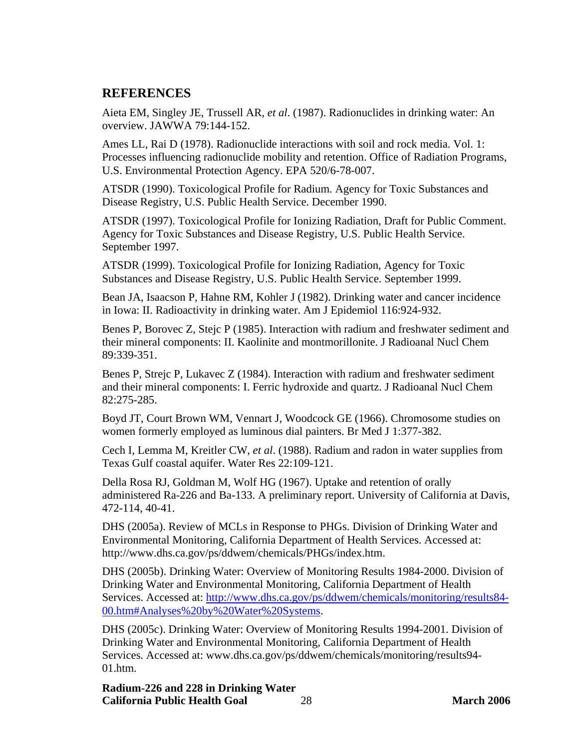# <span id="page-34-0"></span>**REFERENCES**

Aieta EM, Singley JE, Trussell AR, *et al*. (1987). Radionuclides in drinking water: An overview. JAWWA 79:144-152.

Ames LL, Rai D (1978). Radionuclide interactions with soil and rock media. Vol. 1: Processes influencing radionuclide mobility and retention. Office of Radiation Programs, U.S. Environmental Protection Agency. EPA 520/6-78-007.

ATSDR (1990). Toxicological Profile for Radium. Agency for Toxic Substances and Disease Registry, U.S. Public Health Service. December 1990.

ATSDR (1997). Toxicological Profile for Ionizing Radiation, Draft for Public Comment. Agency for Toxic Substances and Disease Registry, U.S. Public Health Service. September 1997.

ATSDR (1999). Toxicological Profile for Ionizing Radiation, Agency for Toxic Substances and Disease Registry, U.S. Public Health Service. September 1999.

Bean JA, Isaacson P, Hahne RM, Kohler J (1982). Drinking water and cancer incidence in Iowa: II. Radioactivity in drinking water. Am J Epidemiol 116:924-932.

Benes P, Borovec Z, Stejc P (1985). Interaction with radium and freshwater sediment and their mineral components: II. Kaolinite and montmorillonite. J Radioanal Nucl Chem 89:339-351.

Benes P, Strejc P, Lukavec Z (1984). Interaction with radium and freshwater sediment and their mineral components: I. Ferric hydroxide and quartz. J Radioanal Nucl Chem 82:275-285.

Boyd JT, Court Brown WM, Vennart J, Woodcock GE (1966). Chromosome studies on women formerly employed as luminous dial painters. Br Med J 1:377-382.

Cech I, Lemma M, Kreitler CW, *et al*. (1988). Radium and radon in water supplies from Texas Gulf coastal aquifer. Water Res 22:109-121.

Della Rosa RJ, Goldman M, Wolf HG (1967). Uptake and retention of orally administered Ra-226 and Ba-133. A preliminary report. University of California at Davis, 472-114, 40-41.

DHS (2005a). Review of MCLs in Response to PHGs. Division of Drinking Water and Environmental Monitoring, California Department of Health Services. Accessed at: <http://www.dhs.ca.gov/ps/ddwem/chemicals/PHGs/index.htm.>

DHS (2005b). Drinking Water: Overview of Monitoring Results 1984-2000. Division of Drinking Water and Environmental Monitoring, California Department of Health Services. Accessed at: [http://www.dhs.ca.gov/ps/ddwem/chemicals/monitoring/results84-](http://www.dhs.ca.gov/ps/ddwem/chemicals/monitoring/results84-00.htm#Analyses%20by%20Water%20Systems)) [00.htm#Analyses%20by%20Water%20Systems.](http://www.dhs.ca.gov/ps/ddwem/chemicals/monitoring/results84-00.htm#Analyses%20by%20Water%20Systems))

DHS (2005c). Drinking Water: Overview of Monitoring Results 1994-2001. Division of Drinking Water and Environmental Monitoring, California Department of Health [Services. Accessed at: www.dhs.ca.gov/ps/ddwem/chemicals/monitoring/results94-](www.dhs.ca.gov/ps/ddwem/chemicals/monitoring/results94-01.htm.) 01.htm.

**Radium-226 and 228 in Drinking Water California Public Health Goal** 28 **March 2006**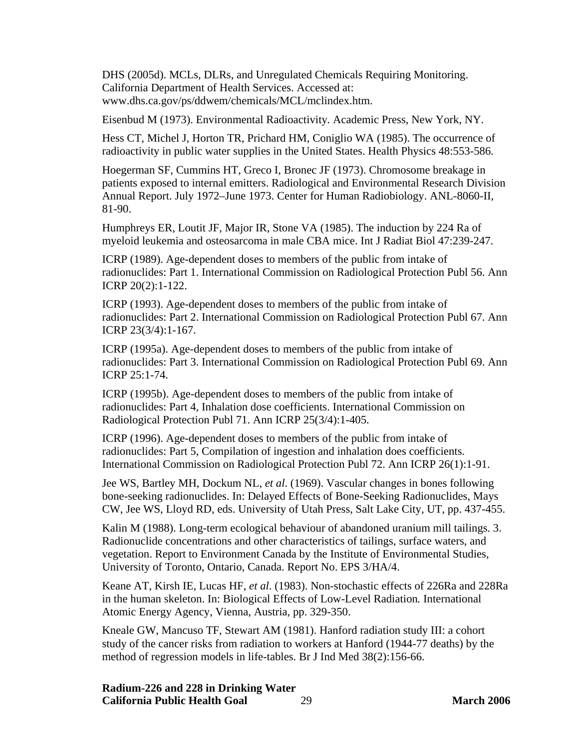DHS (2005d). MCLs, DLRs, and Unregulated Chemicals Requiring Monitoring. California Department of Health Services. Accessed at: <www.dhs.ca.gov/ps/ddwem/chemicals/MCL/mclindex.htm.>

Eisenbud M (1973). Environmental Radioactivity*.* Academic Press, New York, NY.

Hess CT, Michel J, Horton TR, Prichard HM, Coniglio WA (1985). The occurrence of radioactivity in public water supplies in the United States. Health Physics 48:553-586.

Hoegerman SF, Cummins HT, Greco I, Bronec JF (1973). Chromosome breakage in patients exposed to internal emitters. Radiological and Environmental Research Division Annual Report. July 1972–June 1973. Center for Human Radiobiology. ANL-8060-II, 81-90.

Humphreys ER, Loutit JF, Major IR, Stone VA (1985). The induction by 224 Ra of myeloid leukemia and osteosarcoma in male CBA mice. Int J Radiat Biol 47:239-247.

ICRP (1989). Age-dependent doses to members of the public from intake of radionuclides: Part 1. International Commission on Radiological Protection Publ 56. Ann ICRP 20(2):1-122.

ICRP (1993). Age-dependent doses to members of the public from intake of radionuclides: Part 2. International Commission on Radiological Protection Publ 67. Ann ICRP 23(3/4):1-167.

ICRP (1995a). Age-dependent doses to members of the public from intake of radionuclides: Part 3. International Commission on Radiological Protection Publ 69. Ann ICRP 25:1-74.

ICRP (1995b). Age-dependent doses to members of the public from intake of radionuclides: Part 4, Inhalation dose coefficients. International Commission on Radiological Protection Publ 71. Ann ICRP 25(3/4):1-405.

ICRP (1996). Age-dependent doses to members of the public from intake of radionuclides: Part 5, Compilation of ingestion and inhalation does coefficients. International Commission on Radiological Protection Publ 72. Ann ICRP 26(1):1-91.

Jee WS, Bartley MH, Dockum NL, *et al*. (1969). Vascular changes in bones following bone-seeking radionuclides. In: Delayed Effects of Bone-Seeking Radionuclides, Mays CW, Jee WS, Lloyd RD, eds. University of Utah Press, Salt Lake City, UT, pp. 437-455.

Kalin M (1988). Long-term ecological behaviour of abandoned uranium mill tailings. 3. Radionuclide concentrations and other characteristics of tailings, surface waters, and vegetation. Report to Environment Canada by the Institute of Environmental Studies, University of Toronto, Ontario, Canada. Report No. EPS 3/HA/4.

Keane AT, Kirsh IE, Lucas HF, *et al*. (1983). Non-stochastic effects of 226Ra and 228Ra in the human skeleton. In: Biological Effects of Low-Level Radiation*.* International Atomic Energy Agency, Vienna, Austria, pp. 329-350.

Kneale GW, Mancuso TF, Stewart AM (1981). Hanford radiation study III: a cohort study of the cancer risks from radiation to workers at Hanford (1944-77 deaths) by the method of regression models in life-tables. Br J Ind Med 38(2):156-66.

**Radium-226 and 228 in Drinking Water California Public Health Goal** 29 **March 2006**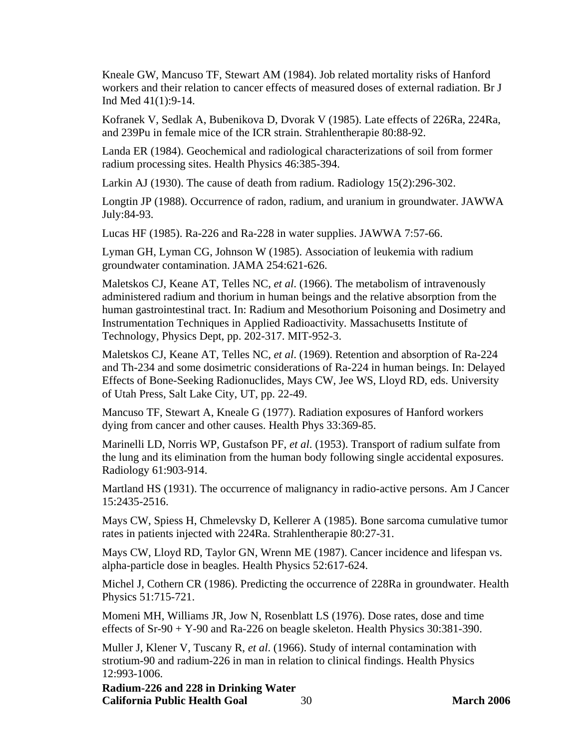Kneale GW, Mancuso TF, Stewart AM (1984). Job related mortality risks of Hanford workers and their relation to cancer effects of measured doses of external radiation. Br J Ind Med 41(1):9-14.

Kofranek V, Sedlak A, Bubenikova D, Dvorak V (1985). Late effects of 226Ra, 224Ra, and 239Pu in female mice of the ICR strain. Strahlentherapie 80:88-92.

Landa ER (1984). Geochemical and radiological characterizations of soil from former radium processing sites. Health Physics 46:385-394.

Larkin AJ (1930). The cause of death from radium. Radiology 15(2):296-302.

Longtin JP (1988). Occurrence of radon, radium, and uranium in groundwater. JAWWA July:84-93.

Lucas HF (1985). Ra-226 and Ra-228 in water supplies. JAWWA 7:57-66.

Lyman GH, Lyman CG, Johnson W (1985). Association of leukemia with radium groundwater contamination. JAMA 254:621-626.

Maletskos CJ, Keane AT, Telles NC, *et al*. (1966). The metabolism of intravenously administered radium and thorium in human beings and the relative absorption from the human gastrointestinal tract. In: Radium and Mesothorium Poisoning and Dosimetry and Instrumentation Techniques in Applied Radioactivity*.* Massachusetts Institute of Technology, Physics Dept, pp. 202-317. MIT-952-3.

Maletskos CJ, Keane AT, Telles NC, *et al*. (1969). Retention and absorption of Ra-224 and Th-234 and some dosimetric considerations of Ra-224 in human beings. In: Delayed Effects of Bone-Seeking Radionuclides*,* Mays CW, Jee WS, Lloyd RD, eds. University of Utah Press, Salt Lake City, UT, pp. 22-49.

Mancuso TF, Stewart A, Kneale G (1977). Radiation exposures of Hanford workers dying from cancer and other causes. Health Phys 33:369-85.

Marinelli LD, Norris WP, Gustafson PF, *et al*. (1953). Transport of radium sulfate from the lung and its elimination from the human body following single accidental exposures. Radiology 61:903-914.

Martland HS (1931). The occurrence of malignancy in radio-active persons. Am J Cancer 15:2435-2516.

Mays CW, Spiess H, Chmelevsky D, Kellerer A (1985). Bone sarcoma cumulative tumor rates in patients injected with 224Ra. Strahlentherapie 80:27-31.

Mays CW, Lloyd RD, Taylor GN, Wrenn ME (1987). Cancer incidence and lifespan vs. alpha-particle dose in beagles. Health Physics 52:617-624.

Michel J, Cothern CR (1986). Predicting the occurrence of 228Ra in groundwater. Health Physics 51:715-721.

Momeni MH, Williams JR, Jow N, Rosenblatt LS (1976). Dose rates, dose and time effects of Sr-90 + Y-90 and Ra-226 on beagle skeleton. Health Physics 30:381-390.

Muller J, Klener V, Tuscany R, *et al*. (1966). Study of internal contamination with strotium-90 and radium-226 in man in relation to clinical findings. Health Physics 12:993-1006.

**Radium-226 and 228 in Drinking Water California Public Health Goal** 30 **March 2006**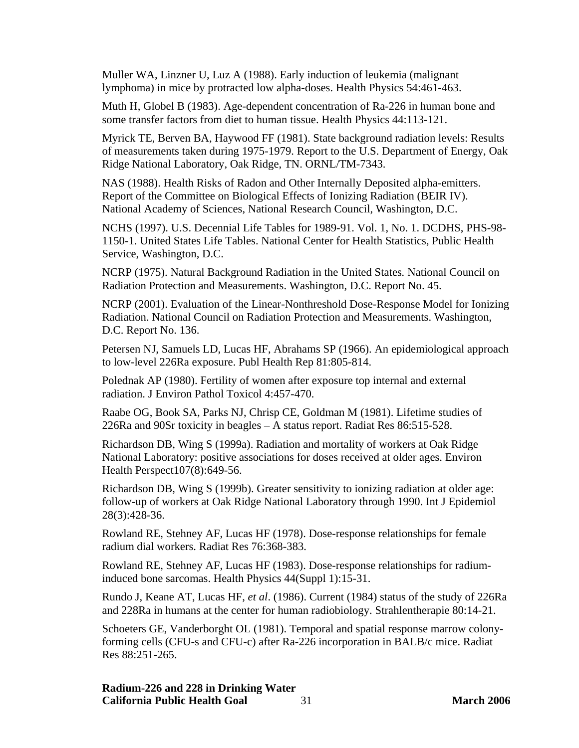Muller WA, Linzner U, Luz A (1988). Early induction of leukemia (malignant lymphoma) in mice by protracted low alpha-doses. Health Physics 54:461-463.

Muth H, Globel B (1983). Age-dependent concentration of Ra-226 in human bone and some transfer factors from diet to human tissue. Health Physics 44:113-121.

Myrick TE, Berven BA, Haywood FF (1981). State background radiation levels: Results of measurements taken during 1975-1979. Report to the U.S. Department of Energy, Oak Ridge National Laboratory, Oak Ridge, TN. ORNL/TM-7343.

NAS (1988). Health Risks of Radon and Other Internally Deposited alpha-emitters. Report of the Committee on Biological Effects of Ionizing Radiation (BEIR IV). National Academy of Sciences, National Research Council, Washington, D.C.

NCHS (1997). U.S. Decennial Life Tables for 1989-91. Vol. 1, No. 1. DCDHS, PHS-98- 1150-1. United States Life Tables. National Center for Health Statistics, Public Health Service, Washington, D.C.

NCRP (1975). Natural Background Radiation in the United States*.* National Council on Radiation Protection and Measurements. Washington, D.C. Report No. 45.

NCRP (2001). Evaluation of the Linear-Nonthreshold Dose-Response Model for Ionizing Radiation. National Council on Radiation Protection and Measurements. Washington, D.C. Report No. 136.

Petersen NJ, Samuels LD, Lucas HF, Abrahams SP (1966). An epidemiological approach to low-level 226Ra exposure. Publ Health Rep 81:805-814.

Polednak AP (1980). Fertility of women after exposure top internal and external radiation. J Environ Pathol Toxicol 4:457-470.

Raabe OG, Book SA, Parks NJ, Chrisp CE, Goldman M (1981). Lifetime studies of 226Ra and 90Sr toxicity in beagles – A status report. Radiat Res 86:515-528.

Richardson DB, Wing S (1999a). Radiation and mortality of workers at Oak Ridge National Laboratory: positive associations for doses received at older ages. Environ Health Perspect107(8):649-56.

Richardson DB, Wing S (1999b). Greater sensitivity to ionizing radiation at older age: follow-up of workers at Oak Ridge National Laboratory through 1990. Int J Epidemiol 28(3):428-36.

Rowland RE, Stehney AF, Lucas HF (1978). Dose-response relationships for female radium dial workers. Radiat Res 76:368-383.

Rowland RE, Stehney AF, Lucas HF (1983). Dose-response relationships for radiuminduced bone sarcomas. Health Physics 44(Suppl 1):15-31.

Rundo J, Keane AT, Lucas HF, *et al*. (1986). Current (1984) status of the study of 226Ra and 228Ra in humans at the center for human radiobiology. Strahlentherapie 80:14-21.

Schoeters GE, Vanderborght OL (1981). Temporal and spatial response marrow colonyforming cells (CFU-s and CFU-c) after Ra-226 incorporation in BALB/c mice. Radiat Res 88:251-265.

**Radium-226 and 228 in Drinking Water California Public Health Goal** 31 **March 2006**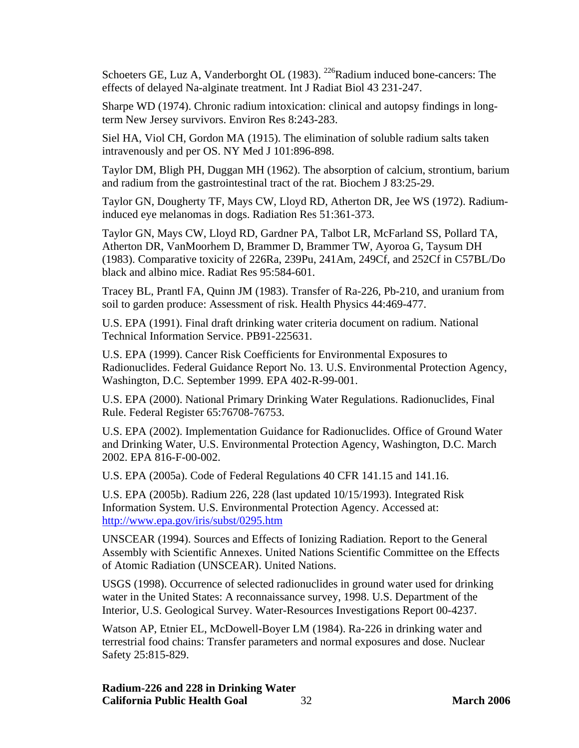Schoeters GE, Luz A, Vanderborght OL (1983). <sup>226</sup>Radium induced bone-cancers: The effects of delayed Na-alginate treatment. Int J Radiat Biol 43 231-247.

Sharpe WD (1974). Chronic radium intoxication: clinical and autopsy findings in longterm New Jersey survivors. Environ Res 8:243-283.

Siel HA, Viol CH, Gordon MA (1915). The elimination of soluble radium salts taken intravenously and per OS. NY Med J 101:896-898.

Taylor DM, Bligh PH, Duggan MH (1962). The absorption of calcium, strontium, barium and radium from the gastrointestinal tract of the rat. Biochem J 83:25-29.

Taylor GN, Dougherty TF, Mays CW, Lloyd RD, Atherton DR, Jee WS (1972). Radiuminduced eye melanomas in dogs. Radiation Res 51:361-373.

Taylor GN, Mays CW, Lloyd RD, Gardner PA, Talbot LR, McFarland SS, Pollard TA, Atherton DR, VanMoorhem D, Brammer D, Brammer TW, Ayoroa G, Taysum DH (1983). Comparative toxicity of 226Ra, 239Pu, 241Am, 249Cf, and 252Cf in C57BL/Do black and albino mice. Radiat Res 95:584-601.

Tracey BL, Prantl FA, Quinn JM (1983). Transfer of Ra-226, Pb-210, and uranium from soil to garden produce: Assessment of risk. Health Physics 44:469-477.

U.S. EPA (1991). Final draft drinking water criteria document on radium. National Technical Information Service. PB91-225631.

U.S. EPA (1999). Cancer Risk Coefficients for Environmental Exposures to Radionuclides. Federal Guidance Report No. 13. U.S. Environmental Protection Agency, Washington, D.C. September 1999. EPA 402-R-99-001.

U.S. EPA (2000). National Primary Drinking Water Regulations. Radionuclides, Final Rule. Federal Register 65:76708-76753.

U.S. EPA (2002). Implementation Guidance for Radionuclides. Office of Ground Water and Drinking Water, U.S. Environmental Protection Agency, Washington, D.C. March 2002. EPA 816-F-00-002.

U.S. EPA (2005a). Code of Federal Regulations 40 CFR 141.15 and 141.16.

U.S. EPA (2005b). Radium 226, 228 (last updated 10/15/1993). Integrated Risk Information System. U.S. Environmental Protection Agency. Accessed at: <http://www.epa.gov/iris/subst/0295.htm>

UNSCEAR (1994). Sources and Effects of Ionizing Radiation*.* Report to the General Assembly with Scientific Annexes. United Nations Scientific Committee on the Effects of Atomic Radiation (UNSCEAR). United Nations.

USGS (1998). Occurrence of selected radionuclides in ground water used for drinking water in the United States: A reconnaissance survey, 1998. U.S. Department of the Interior, U.S. Geological Survey. Water-Resources Investigations Report 00-4237.

Watson AP, Etnier EL, McDowell-Boyer LM (1984). Ra-226 in drinking water and terrestrial food chains: Transfer parameters and normal exposures and dose. Nuclear Safety 25:815-829.

**Radium-226 and 228 in Drinking Water California Public Health Goal** 32 **March 2006**